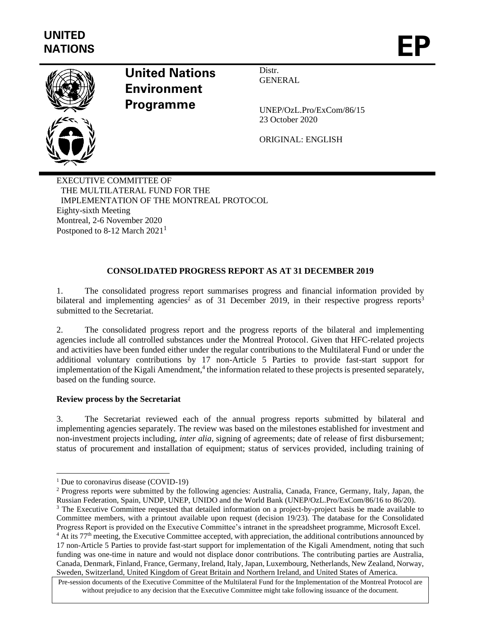

# **United Nations Environment Programme**

Distr. **GENERAL** 

UNEP/OzL.Pro/ExCom/86/15 23 October 2020

ORIGINAL: ENGLISH

EXECUTIVE COMMITTEE OF THE MULTILATERAL FUND FOR THE IMPLEMENTATION OF THE MONTREAL PROTOCOL Eighty-sixth Meeting Montreal, 2-6 November 2020 Postponed to 8-12 March 2021<sup>1</sup>

# **CONSOLIDATED PROGRESS REPORT AS AT 31 DECEMBER 2019**

1. The consolidated progress report summarises progress and financial information provided by bilateral and implementing agencies<sup>2</sup> as of 31 December 2019, in their respective progress reports<sup>3</sup> submitted to the Secretariat.

2. The consolidated progress report and the progress reports of the bilateral and implementing agencies include all controlled substances under the Montreal Protocol. Given that HFC-related projects and activities have been funded either under the regular contributions to the Multilateral Fund or under the additional voluntary contributions by 17 non-Article 5 Parties to provide fast-start support for implementation of the Kigali Amendment,<sup>4</sup> the information related to these projects is presented separately, based on the funding source.

# **Review process by the Secretariat**

3. The Secretariat reviewed each of the annual progress reports submitted by bilateral and implementing agencies separately. The review was based on the milestones established for investment and non-investment projects including, *inter alia,* signing of agreements; date of release of first disbursement; status of procurement and installation of equipment; status of services provided, including training of

<sup>&</sup>lt;sup>1</sup> Due to coronavirus disease (COVID-19)

<sup>2</sup> Progress reports were submitted by the following agencies: Australia, Canada, France, Germany, Italy, Japan, the Russian Federation, Spain, UNDP, UNEP, UNIDO and the World Bank (UNEP/OzL.Pro/ExCom/86/16 to 86/20).

<sup>&</sup>lt;sup>3</sup> The Executive Committee requested that detailed information on a project-by-project basis be made available to Committee members, with a printout available upon request (decision 19/23). The database for the Consolidated Progress Report is provided on the Executive Committee's intranet in the spreadsheet programme, Microsoft Excel. <sup>4</sup> At its 77<sup>th</sup> meeting, the Executive Committee accepted, with appreciation, the additional contributions announced by 17 non-Article 5 Parties to provide fast-start support for implementation of the Kigali Amendment, noting that such funding was one-time in nature and would not displace donor contributions. The contributing parties are Australia, Canada, Denmark, Finland, France, Germany, Ireland, Italy, Japan, Luxembourg, Netherlands, New Zealand, Norway, Sweden, Switzerland, United Kingdom of Great Britain and Northern Ireland, and United States of America.

Pre-session documents of the Executive Committee of the Multilateral Fund for the Implementation of the Montreal Protocol are without prejudice to any decision that the Executive Committee might take following issuance of the document.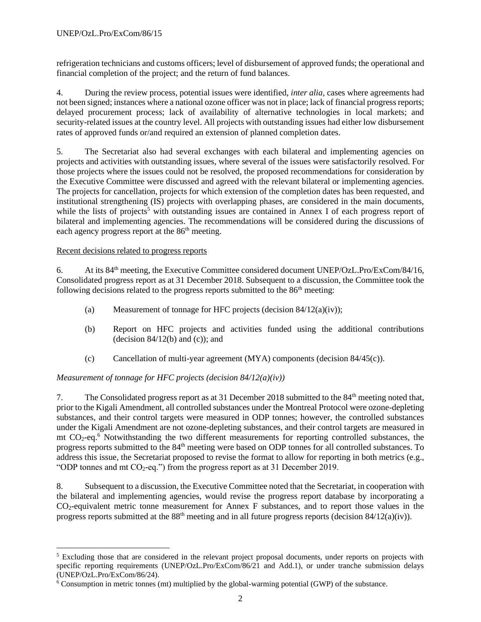refrigeration technicians and customs officers; level of disbursement of approved funds; the operational and financial completion of the project; and the return of fund balances.

4. During the review process, potential issues were identified, *inter alia,* cases where agreements had not been signed; instances where a national ozone officer was not in place; lack of financial progress reports; delayed procurement process; lack of availability of alternative technologies in local markets; and security-related issues at the country level. All projects with outstanding issues had either low disbursement rates of approved funds or/and required an extension of planned completion dates.

5. The Secretariat also had several exchanges with each bilateral and implementing agencies on projects and activities with outstanding issues, where several of the issues were satisfactorily resolved. For those projects where the issues could not be resolved, the proposed recommendations for consideration by the Executive Committee were discussed and agreed with the relevant bilateral or implementing agencies. The projects for cancellation, projects for which extension of the completion dates has been requested, and institutional strengthening (IS) projects with overlapping phases, are considered in the main documents, while the lists of projects<sup>5</sup> with outstanding issues are contained in Annex I of each progress report of bilateral and implementing agencies. The recommendations will be considered during the discussions of each agency progress report at the  $86<sup>th</sup>$  meeting.

# Recent decisions related to progress reports

6. At its 84th meeting, the Executive Committee considered document UNEP/OzL.Pro/ExCom/84/16, Consolidated progress report as at 31 December 2018. Subsequent to a discussion, the Committee took the following decisions related to the progress reports submitted to the  $86<sup>th</sup>$  meeting:

- (a) Measurement of tonnage for HFC projects (decision  $84/12(a)(iv)$ );
- (b) Report on HFC projects and activities funded using the additional contributions (decision  $84/12(b)$  and (c)); and
- (c) Cancellation of multi-year agreement  $(MYA)$  components (decision 84/45(c)).

# *Measurement of tonnage for HFC projects (decision 84/12(a)(iv))*

7. The Consolidated progress report as at 31 December 2018 submitted to the 84th meeting noted that, prior to the Kigali Amendment, all controlled substances under the Montreal Protocol were ozone-depleting substances, and their control targets were measured in ODP tonnes; however, the controlled substances under the Kigali Amendment are not ozone-depleting substances, and their control targets are measured in mt  $CO<sub>2</sub>$ -eq.<sup>6</sup> Notwithstanding the two different measurements for reporting controlled substances, the progress reports submitted to the 84<sup>th</sup> meeting were based on ODP tonnes for all controlled substances. To address this issue, the Secretariat proposed to revise the format to allow for reporting in both metrics (e.g., "ODP tonnes and mt  $CO_2$ -eq.") from the progress report as at 31 December 2019.

8. Subsequent to a discussion, the Executive Committee noted that the Secretariat, in cooperation with the bilateral and implementing agencies, would revise the progress report database by incorporating a CO2-equivalent metric tonne measurement for Annex F substances, and to report those values in the progress reports submitted at the  $88<sup>th</sup>$  meeting and in all future progress reports (decision  $84/12(a)(iv)$ ).

<sup>&</sup>lt;sup>5</sup> Excluding those that are considered in the relevant project proposal documents, under reports on projects with specific reporting requirements (UNEP/OzL.Pro/ExCom/86/21 and Add.1), or under tranche submission delays (UNEP/OzL.Pro/ExCom/86/24).

<sup>6</sup> Consumption in metric tonnes (mt) multiplied by the global-warming potential (GWP) of the substance.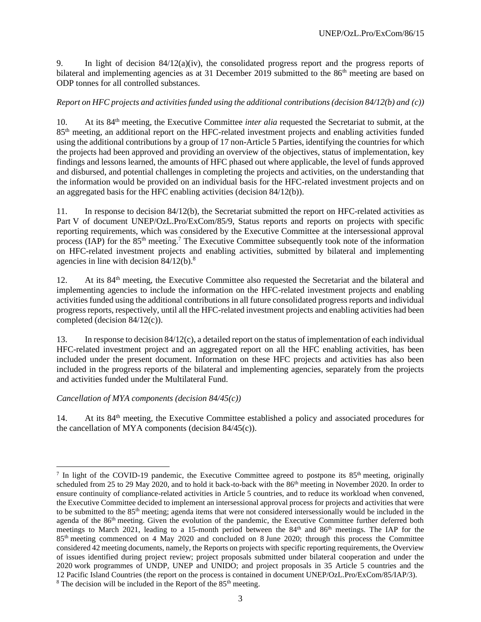9. In light of decision 84/12(a)(iv), the consolidated progress report and the progress reports of bilateral and implementing agencies as at 31 December 2019 submitted to the  $86<sup>th</sup>$  meeting are based on ODP tonnes for all controlled substances.

# *Report on HFC projects and activities funded using the additional contributions (decision 84/12(b) and (c))*

10. At its 84th meeting, the Executive Committee *inter alia* requested the Secretariat to submit, at the 85th meeting, an additional report on the HFC-related investment projects and enabling activities funded using the additional contributions by a group of 17 non-Article 5 Parties, identifying the countries for which the projects had been approved and providing an overview of the objectives, status of implementation, key findings and lessons learned, the amounts of HFC phased out where applicable, the level of funds approved and disbursed, and potential challenges in completing the projects and activities, on the understanding that the information would be provided on an individual basis for the HFC-related investment projects and on an aggregated basis for the HFC enabling activities (decision 84/12(b)).

11. In response to decision 84/12(b), the Secretariat submitted the report on HFC-related activities as Part V of document UNEP/OzL.Pro/ExCom/85/9, Status reports and reports on projects with specific reporting requirements, which was considered by the Executive Committee at the intersessional approval process (IAP) for the 85<sup>th</sup> meeting.<sup>7</sup> The Executive Committee subsequently took note of the information on HFC-related investment projects and enabling activities, submitted by bilateral and implementing agencies in line with decision  $84/12(b)$ .<sup>8</sup>

12. At its 84<sup>th</sup> meeting, the Executive Committee also requested the Secretariat and the bilateral and implementing agencies to include the information on the HFC-related investment projects and enabling activities funded using the additional contributions in all future consolidated progress reports and individual progress reports, respectively, until all the HFC-related investment projects and enabling activities had been completed (decision 84/12(c)).

13. In response to decision 84/12(c), a detailed report on the status of implementation of each individual HFC-related investment project and an aggregated report on all the HFC enabling activities, has been included under the present document. Information on these HFC projects and activities has also been included in the progress reports of the bilateral and implementing agencies, separately from the projects and activities funded under the Multilateral Fund.

# *Cancellation of MYA components (decision 84/45(c))*

14. At its 84<sup>th</sup> meeting, the Executive Committee established a policy and associated procedures for the cancellation of MYA components (decision 84/45(c)).

<sup>&</sup>lt;sup>7</sup> In light of the COVID-19 pandemic, the Executive Committee agreed to postpone its  $85<sup>th</sup>$  meeting, originally scheduled from 25 to 29 May 2020, and to hold it back-to-back with the 86<sup>th</sup> meeting in November 2020. In order to ensure continuity of compliance-related activities in Article 5 countries, and to reduce its workload when convened, the Executive Committee decided to implement an intersessional approval process for projects and activities that were to be submitted to the 85<sup>th</sup> meeting; agenda items that were not considered intersessionally would be included in the agenda of the 86<sup>th</sup> meeting. Given the evolution of the pandemic, the Executive Committee further deferred both meetings to March 2021, leading to a 15-month period between the 84<sup>th</sup> and 86<sup>th</sup> meetings. The IAP for the 85th meeting commenced on 4 May 2020 and concluded on 8 June 2020; through this process the Committee considered 42 meeting documents, namely, the Reports on projects with specific reporting requirements, the Overview of issues identified during project review; project proposals submitted under bilateral cooperation and under the 2020 work programmes of UNDP, UNEP and UNIDO; and project proposals in 35 Article 5 countries and the 12 Pacific Island Countries (the report on the process is contained in document UNEP/OzL.Pro/ExCom/85/IAP/3).  $8$  The decision will be included in the Report of the  $85<sup>th</sup>$  meeting.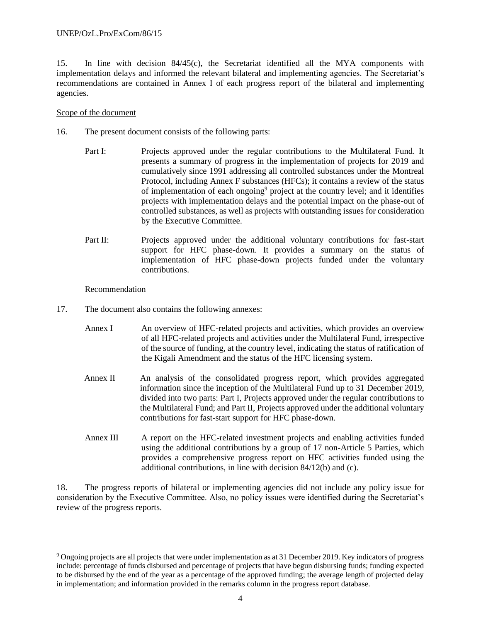15. In line with decision 84/45(c), the Secretariat identified all the MYA components with implementation delays and informed the relevant bilateral and implementing agencies. The Secretariat's recommendations are contained in Annex I of each progress report of the bilateral and implementing agencies.

# Scope of the document

- 16. The present document consists of the following parts:
	- Part I: Projects approved under the regular contributions to the Multilateral Fund. It presents a summary of progress in the implementation of projects for 2019 and cumulatively since 1991 addressing all controlled substances under the Montreal Protocol, including Annex F substances (HFCs); it contains a review of the status of implementation of each ongoing<sup>9</sup> project at the country level; and it identifies projects with implementation delays and the potential impact on the phase-out of controlled substances, as well as projects with outstanding issues for consideration by the Executive Committee.
	- Part II: Projects approved under the additional voluntary contributions for fast-start support for HFC phase-down. It provides a summary on the status of implementation of HFC phase-down projects funded under the voluntary contributions.

# Recommendation

- 17. The document also contains the following annexes:
	- Annex I An overview of HFC-related projects and activities, which provides an overview of all HFC-related projects and activities under the Multilateral Fund, irrespective of the source of funding, at the country level, indicating the status of ratification of the Kigali Amendment and the status of the HFC licensing system.
	- Annex II An analysis of the consolidated progress report, which provides aggregated information since the inception of the Multilateral Fund up to 31 December 2019, divided into two parts: Part I, Projects approved under the regular contributions to the Multilateral Fund; and Part II, Projects approved under the additional voluntary contributions for fast-start support for HFC phase-down.
	- Annex III A report on the HFC-related investment projects and enabling activities funded using the additional contributions by a group of 17 non-Article 5 Parties, which provides a comprehensive progress report on HFC activities funded using the additional contributions, in line with decision 84/12(b) and (c).

18. The progress reports of bilateral or implementing agencies did not include any policy issue for consideration by the Executive Committee. Also, no policy issues were identified during the Secretariat's review of the progress reports.

<sup>9</sup> Ongoing projects are all projects that were under implementation as at 31 December 2019. Key indicators of progress include: percentage of funds disbursed and percentage of projects that have begun disbursing funds; funding expected to be disbursed by the end of the year as a percentage of the approved funding; the average length of projected delay in implementation; and information provided in the remarks column in the progress report database.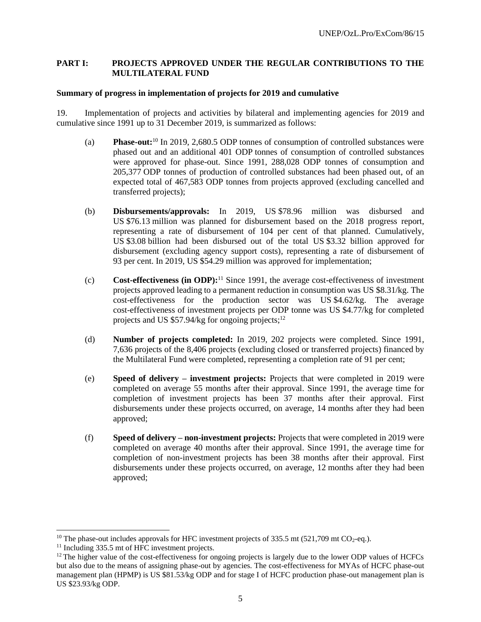# **PART I: PROJECTS APPROVED UNDER THE REGULAR CONTRIBUTIONS TO THE MULTILATERAL FUND**

# **Summary of progress in implementation of projects for 2019 and cumulative**

19. Implementation of projects and activities by bilateral and implementing agencies for 2019 and cumulative since 1991 up to 31 December 2019, is summarized as follows:

- (a) **Phase-out:**<sup>10</sup> In 2019, 2,680.5 ODP tonnes of consumption of controlled substances were phased out and an additional 401 ODP tonnes of consumption of controlled substances were approved for phase-out. Since 1991, 288,028 ODP tonnes of consumption and 205,377 ODP tonnes of production of controlled substances had been phased out, of an expected total of 467,583 ODP tonnes from projects approved (excluding cancelled and transferred projects);
- (b) **Disbursements/approvals:** In 2019, US \$78.96 million was disbursed and US \$76.13 million was planned for disbursement based on the 2018 progress report, representing a rate of disbursement of 104 per cent of that planned. Cumulatively, US \$3.08 billion had been disbursed out of the total US \$3.32 billion approved for disbursement (excluding agency support costs), representing a rate of disbursement of 93 per cent. In 2019, US \$54.29 million was approved for implementation;
- (c) **Cost-effectiveness (in ODP):**<sup>11</sup> Since 1991, the average cost-effectiveness of investment projects approved leading to a permanent reduction in consumption was US \$8.31/kg. The cost-effectiveness for the production sector was US \$4.62/kg. The average cost-effectiveness of investment projects per ODP tonne was US \$4.77/kg for completed projects and US  $$57.94$ /kg for ongoing projects;<sup>12</sup>
- (d) **Number of projects completed:** In 2019, 202 projects were completed. Since 1991, 7,636 projects of the 8,406 projects (excluding closed or transferred projects) financed by the Multilateral Fund were completed, representing a completion rate of 91 per cent;
- (e) **Speed of delivery – investment projects:** Projects that were completed in 2019 were completed on average 55 months after their approval. Since 1991, the average time for completion of investment projects has been 37 months after their approval. First disbursements under these projects occurred, on average, 14 months after they had been approved;
- (f) **Speed of delivery – non-investment projects:** Projects that were completed in 2019 were completed on average 40 months after their approval. Since 1991, the average time for completion of non-investment projects has been 38 months after their approval. First disbursements under these projects occurred, on average, 12 months after they had been approved;

<sup>&</sup>lt;sup>10</sup> The phase-out includes approvals for HFC investment projects of 335.5 mt (521,709 mt CO<sub>2</sub>-eq.).

<sup>&</sup>lt;sup>11</sup> Including 335.5 mt of HFC investment projects.

<sup>&</sup>lt;sup>12</sup> The higher value of the cost-effectiveness for ongoing projects is largely due to the lower ODP values of HCFCs but also due to the means of assigning phase-out by agencies. The cost-effectiveness for MYAs of HCFC phase-out management plan (HPMP) is US \$81.53/kg ODP and for stage I of HCFC production phase-out management plan is US \$23.93/kg ODP.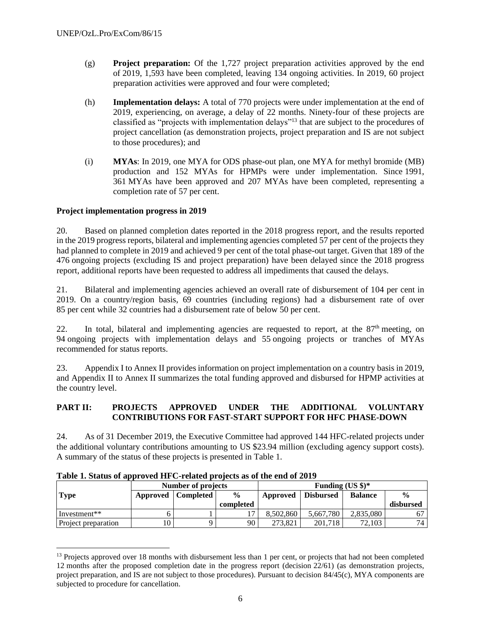- (g) **Project preparation:** Of the 1,727 project preparation activities approved by the end of 2019, 1,593 have been completed, leaving 134 ongoing activities. In 2019, 60 project preparation activities were approved and four were completed;
- (h) **Implementation delays:** A total of 770 projects were under implementation at the end of 2019, experiencing, on average, a delay of 22 months. Ninety-four of these projects are classified as "projects with implementation delays"<sup>13</sup> that are subject to the procedures of project cancellation (as demonstration projects, project preparation and IS are not subject to those procedures); and
- (i) **MYAs**: In 2019, one MYA for ODS phase-out plan, one MYA for methyl bromide (MB) production and 152 MYAs for HPMPs were under implementation. Since 1991, 361 MYAs have been approved and 207 MYAs have been completed, representing a completion rate of 57 per cent.

# **Project implementation progress in 2019**

20. Based on planned completion dates reported in the 2018 progress report, and the results reported in the 2019 progress reports, bilateral and implementing agencies completed 57 per cent of the projects they had planned to complete in 2019 and achieved 9 per cent of the total phase-out target. Given that 189 of the 476 ongoing projects (excluding IS and project preparation) have been delayed since the 2018 progress report, additional reports have been requested to address all impediments that caused the delays.

21. Bilateral and implementing agencies achieved an overall rate of disbursement of 104 per cent in 2019. On a country/region basis, 69 countries (including regions) had a disbursement rate of over 85 per cent while 32 countries had a disbursement rate of below 50 per cent.

22. In total, bilateral and implementing agencies are requested to report, at the  $87<sup>th</sup>$  meeting, on 94 ongoing projects with implementation delays and 55 ongoing projects or tranches of MYAs recommended for status reports.

23. Appendix I to Annex II provides information on project implementation on a country basis in 2019, and Appendix II to Annex II summarizes the total funding approved and disbursed for HPMP activities at the country level.

# **PART II: PROJECTS APPROVED UNDER THE ADDITIONAL VOLUNTARY CONTRIBUTIONS FOR FAST-START SUPPORT FOR HFC PHASE-DOWN**

24. As of 31 December 2019, the Executive Committee had approved 144 HFC-related projects under the additional voluntary contributions amounting to US \$23.94 million (excluding agency support costs). A summary of the status of these projects is presented in Table 1.

|                          | Number of projects |           |               | Funding $(US \$ )^* |           |                |                 |
|--------------------------|--------------------|-----------|---------------|---------------------|-----------|----------------|-----------------|
| <b>Type</b>              | Approved           | Completed | $\frac{0}{0}$ | Approved            | Disbursed | <b>Balance</b> | $\frac{0}{0}$   |
|                          |                    |           | completed     |                     |           |                | disbursed       |
| Investment <sup>**</sup> |                    |           |               | 8.502.860           | 5.667.780 | 2,835,080      |                 |
| Project preparation      | 10                 |           | 90            | 273.821             | 201.718   | 72,103         | 74 <sub>1</sub> |

**Table 1. Status of approved HFC-related projects as of the end of 2019**

<sup>&</sup>lt;sup>13</sup> Projects approved over 18 months with disbursement less than 1 per cent, or projects that had not been completed 12 months after the proposed completion date in the progress report (decision 22/61) (as demonstration projects, project preparation, and IS are not subject to those procedures). Pursuant to decision 84/45(c), MYA components are subjected to procedure for cancellation.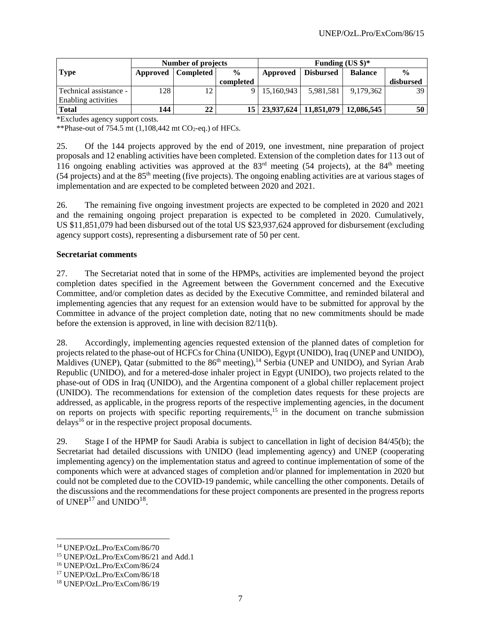|                            | <b>Number of projects</b> |                      |               | Funding $(US \$ )^*                       |           |                |                 |
|----------------------------|---------------------------|----------------------|---------------|-------------------------------------------|-----------|----------------|-----------------|
| <b>Type</b>                |                           | Approved   Completed | $\frac{0}{0}$ | Approved                                  | Disbursed | <b>Balance</b> | $\frac{0}{0}$   |
|                            |                           |                      | completed     |                                           |           |                | disbursed       |
| - Technical assistance     | 128                       | 12                   |               | 9 15.160.943                              | 5,981,581 | 9,179,362      | 39 <sup> </sup> |
| <b>Enabling activities</b> |                           |                      |               |                                           |           |                |                 |
| <b>Total</b>               | 144                       | 22                   |               | 15   23,937,624   11,851,079   12,086,545 |           |                | 50              |

\*Excludes agency support costs.

\*\*Phase-out of 754.5 mt  $(1,108,442 \text{ mt } CO_2\text{-eq.})$  of HFCs.

25. Of the 144 projects approved by the end of 2019, one investment, nine preparation of project proposals and 12 enabling activities have been completed. Extension of the completion dates for 113 out of 116 ongoing enabling activities was approved at the 83<sup>rd</sup> meeting (54 projects), at the 84<sup>th</sup> meeting (54 projects) and at the 85th meeting (five projects). The ongoing enabling activities are at various stages of implementation and are expected to be completed between 2020 and 2021.

26. The remaining five ongoing investment projects are expected to be completed in 2020 and 2021 and the remaining ongoing project preparation is expected to be completed in 2020. Cumulatively, US \$11,851,079 had been disbursed out of the total US \$23,937,624 approved for disbursement (excluding agency support costs), representing a disbursement rate of 50 per cent.

#### **Secretariat comments**

27. The Secretariat noted that in some of the HPMPs, activities are implemented beyond the project completion dates specified in the Agreement between the Government concerned and the Executive Committee, and/or completion dates as decided by the Executive Committee, and reminded bilateral and implementing agencies that any request for an extension would have to be submitted for approval by the Committee in advance of the project completion date, noting that no new commitments should be made before the extension is approved, in line with decision 82/11(b).

28. Accordingly, implementing agencies requested extension of the planned dates of completion for projects related to the phase-out of HCFCs for China (UNIDO), Egypt (UNIDO), Iraq (UNEP and UNIDO), Maldives (UNEP), Qatar (submitted to the 86<sup>th</sup> meeting),<sup>14</sup> Serbia (UNEP and UNIDO), and Syrian Arab Republic (UNIDO), and for a metered-dose inhaler project in Egypt (UNIDO), two projects related to the phase-out of ODS in Iraq (UNIDO), and the Argentina component of a global chiller replacement project (UNIDO). The recommendations for extension of the completion dates requests for these projects are addressed, as applicable, in the progress reports of the respective implementing agencies, in the document on reports on projects with specific reporting requirements,<sup>15</sup> in the document on tranche submission  $\text{delays}^{16}$  or in the respective project proposal documents.

29. Stage I of the HPMP for Saudi Arabia is subject to cancellation in light of decision 84/45(b); the Secretariat had detailed discussions with UNIDO (lead implementing agency) and UNEP (cooperating implementing agency) on the implementation status and agreed to continue implementation of some of the components which were at advanced stages of completion and/or planned for implementation in 2020 but could not be completed due to the COVID-19 pandemic, while cancelling the other components. Details of the discussions and the recommendations for these project components are presented in the progress reports of  $\mathrm{UNEP}^{17}$  and  $\mathrm{UNIDO}^{18}$ .

<sup>14</sup> UNEP/OzL.Pro/ExCom/86/70

<sup>15</sup> UNEP/OzL.Pro/ExCom/86/21 and Add.1

<sup>16</sup> UNEP/OzL.Pro/ExCom/86/24

<sup>17</sup> UNEP/OzL.Pro/ExCom/86/18

<sup>18</sup> UNEP/OzL.Pro/ExCom/86/19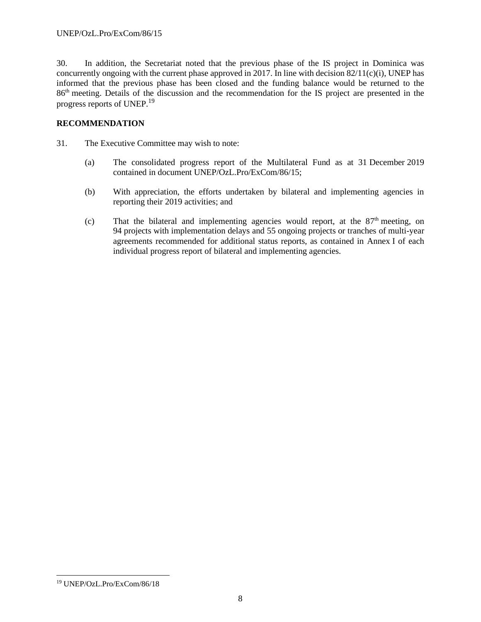30. In addition, the Secretariat noted that the previous phase of the IS project in Dominica was concurrently ongoing with the current phase approved in 2017. In line with decision 82/11(c)(i), UNEP has informed that the previous phase has been closed and the funding balance would be returned to the 86th meeting. Details of the discussion and the recommendation for the IS project are presented in the progress reports of UNEP.<sup>19</sup>

# **RECOMMENDATION**

- 31. The Executive Committee may wish to note:
	- (a) The consolidated progress report of the Multilateral Fund as at 31 December 2019 contained in document UNEP/OzL.Pro/ExCom/86/15;
	- (b) With appreciation, the efforts undertaken by bilateral and implementing agencies in reporting their 2019 activities; and
	- $(c)$  That the bilateral and implementing agencies would report, at the  $87<sup>th</sup>$  meeting, on 94 projects with implementation delays and 55 ongoing projects or tranches of multi-year agreements recommended for additional status reports, as contained in Annex I of each individual progress report of bilateral and implementing agencies.

<sup>19</sup> UNEP/OzL.Pro/ExCom/86/18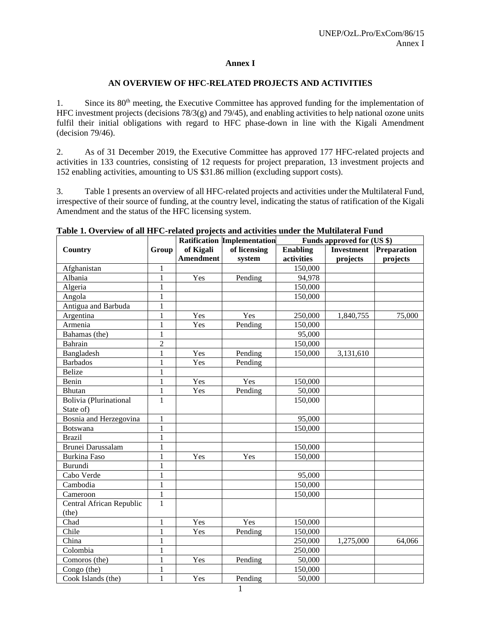#### **Annex I**

#### **AN OVERVIEW OF HFC-RELATED PROJECTS AND ACTIVITIES**

1. Since its 80<sup>th</sup> meeting, the Executive Committee has approved funding for the implementation of HFC investment projects (decisions 78/3(g) and 79/45), and enabling activities to help national ozone units fulfil their initial obligations with regard to HFC phase-down in line with the Kigali Amendment (decision 79/46).

2. As of 31 December 2019, the Executive Committee has approved 177 HFC-related projects and activities in 133 countries, consisting of 12 requests for project preparation, 13 investment projects and 152 enabling activities, amounting to US \$31.86 million (excluding support costs).

3. Table 1 presents an overview of all HFC-related projects and activities under the Multilateral Fund, irrespective of their source of funding, at the country level, indicating the status of ratification of the Kigali Amendment and the status of the HFC licensing system.

|                          |                |                  | <b>Ratification Implementation</b> |                 | Funds approved for (US \$) |                    |
|--------------------------|----------------|------------------|------------------------------------|-----------------|----------------------------|--------------------|
| Country                  | Group          | of Kigali        | of licensing                       | <b>Enabling</b> | <b>Investment</b>          | <b>Preparation</b> |
|                          |                | <b>Amendment</b> | system                             | activities      | projects                   | projects           |
| Afghanistan              | 1              |                  |                                    | 150,000         |                            |                    |
| Albania                  | 1              | Yes              | Pending                            | 94,978          |                            |                    |
| Algeria                  |                |                  |                                    | 150,000         |                            |                    |
| Angola                   | $\mathbf{1}$   |                  |                                    | 150,000         |                            |                    |
| Antigua and Barbuda      | $\mathbf{1}$   |                  |                                    |                 |                            |                    |
| Argentina                | $\mathbf{1}$   | Yes              | Yes                                | 250,000         | 1,840,755                  | 75,000             |
| Armenia                  | $\mathbf{1}$   | Yes              | Pending                            | 150,000         |                            |                    |
| Bahamas (the)            | $\mathbf{1}$   |                  |                                    | 95,000          |                            |                    |
| Bahrain                  | $\overline{c}$ |                  |                                    | 150,000         |                            |                    |
| Bangladesh               | $\mathbf{1}$   | Yes              | Pending                            | 150,000         | 3,131,610                  |                    |
| <b>Barbados</b>          | $\mathbf{1}$   | Yes              | Pending                            |                 |                            |                    |
| <b>Belize</b>            | $\mathbf{1}$   |                  |                                    |                 |                            |                    |
| Benin                    | 1              | Yes              | Yes                                | 150,000         |                            |                    |
| Bhutan                   | $\mathbf{1}$   | Yes              | Pending                            | 50,000          |                            |                    |
| Bolivia (Plurinational   | $\mathbf{1}$   |                  |                                    | 150,000         |                            |                    |
| State of)                |                |                  |                                    |                 |                            |                    |
| Bosnia and Herzegovina   | $\mathbf{1}$   |                  |                                    | 95,000          |                            |                    |
| <b>Botswana</b>          | $\mathbf{1}$   |                  |                                    | 150,000         |                            |                    |
| <b>Brazil</b>            | $\mathbf{1}$   |                  |                                    |                 |                            |                    |
| Brunei Darussalam        | $\mathbf{1}$   |                  |                                    | 150,000         |                            |                    |
| <b>Burkina Faso</b>      | 1              | Yes              | Yes                                | 150,000         |                            |                    |
| Burundi                  | 1              |                  |                                    |                 |                            |                    |
| Cabo Verde               | $\mathbf{1}$   |                  |                                    | 95,000          |                            |                    |
| Cambodia                 | $\mathbf{1}$   |                  |                                    | 150,000         |                            |                    |
| Cameroon                 | $\mathbf{1}$   |                  |                                    | 150,000         |                            |                    |
| Central African Republic | $\mathbf{1}$   |                  |                                    |                 |                            |                    |
| (the)                    |                |                  |                                    |                 |                            |                    |
| Chad                     | $\mathbf{1}$   | Yes              | Yes                                | 150,000         |                            |                    |
| Chile                    | 1              | Yes              | Pending                            | 150,000         |                            |                    |
| China                    | 1              |                  |                                    | 250,000         | 1,275,000                  | 64,066             |
| Colombia                 | 1              |                  |                                    | 250,000         |                            |                    |
| Comoros (the)            | $\mathbf{1}$   | Yes              | Pending                            | 50,000          |                            |                    |
| Congo (the)              | 1              |                  |                                    | 150,000         |                            |                    |
| Cook Islands (the)       | $\mathbf{1}$   | Yes              | Pending                            | 50,000          |                            |                    |

**Table 1. Overview of all HFC-related projects and activities under the Multilateral Fund**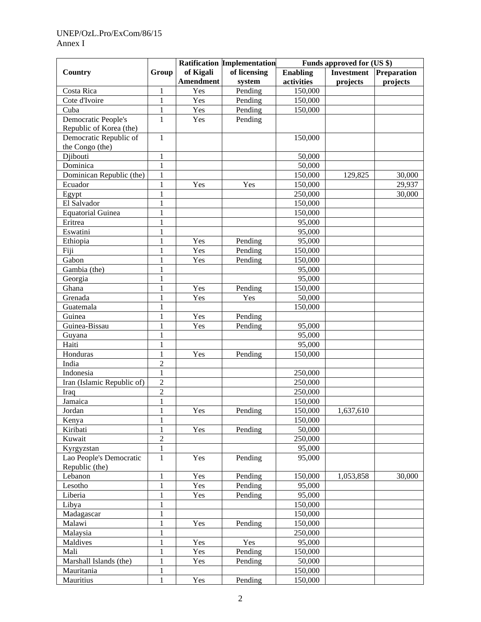# UNEP/OzL.Pro/ExCom/86/15 Annex I

|                            |                |                  | Ratification Implementation | Funds approved for (US \$) |                   |             |  |
|----------------------------|----------------|------------------|-----------------------------|----------------------------|-------------------|-------------|--|
| Country                    | Group          | of Kigali        | of licensing                | <b>Enabling</b>            | <b>Investment</b> | Preparation |  |
|                            |                | <b>Amendment</b> | system                      | activities                 | projects          | projects    |  |
| Costa Rica                 | 1              | Yes              | Pending                     | 150,000                    |                   |             |  |
| Cote d'Ivoire              | 1              | Yes              | Pending                     | 150,000                    |                   |             |  |
| Cuba                       | 1              | Yes              | Pending                     | 150,000                    |                   |             |  |
| Democratic People's        | $\overline{1}$ | Yes              | Pending                     |                            |                   |             |  |
| Republic of Korea (the)    |                |                  |                             |                            |                   |             |  |
| Democratic Republic of     | $\mathbf{1}$   |                  |                             | 150,000                    |                   |             |  |
| the Congo (the)            |                |                  |                             |                            |                   |             |  |
| Djibouti                   | 1              |                  |                             | 50,000                     |                   |             |  |
| Dominica                   | 1              |                  |                             | 50,000                     |                   |             |  |
| Dominican Republic (the)   | 1              |                  |                             | 150,000                    | 129,825           | 30,000      |  |
| Ecuador                    | 1              | Yes              | Yes                         | 150,000                    |                   | 29,937      |  |
| Egypt                      | 1              |                  |                             | 250,000                    |                   | 30,000      |  |
| El Salvador                | 1              |                  |                             | 150,000                    |                   |             |  |
| <b>Equatorial Guinea</b>   | $\mathbf{1}$   |                  |                             | 150,000                    |                   |             |  |
| Eritrea                    | 1              |                  |                             | 95,000                     |                   |             |  |
| Eswatini                   | 1              |                  |                             | 95,000                     |                   |             |  |
| Ethiopia                   | 1              | Yes              | Pending                     | 95,000                     |                   |             |  |
| Fiji                       | 1              | Yes              | Pending                     | 150,000                    |                   |             |  |
| Gabon                      | 1              | Yes              | Pending                     | 150,000                    |                   |             |  |
| Gambia (the)               | 1              |                  |                             | 95,000                     |                   |             |  |
| Georgia                    | 1              |                  |                             | 95,000                     |                   |             |  |
| Ghana                      | 1              | Yes              | Pending                     | 150,000                    |                   |             |  |
| Grenada                    | 1              | Yes              | Yes                         | 50,000                     |                   |             |  |
| Guatemala                  | 1              |                  |                             | 150,000                    |                   |             |  |
| Guinea                     | 1              | Yes              | Pending                     |                            |                   |             |  |
| Guinea-Bissau              | 1              | Yes              | Pending                     | 95,000                     |                   |             |  |
| Guyana                     | 1              |                  |                             | 95,000                     |                   |             |  |
| Haiti                      | 1              |                  |                             | 95,000                     |                   |             |  |
| Honduras                   | 1              | Yes              | Pending                     | 150,000                    |                   |             |  |
| India                      | $\overline{c}$ |                  |                             |                            |                   |             |  |
| Indonesia                  | 1              |                  |                             | 250,000                    |                   |             |  |
| Iran (Islamic Republic of) | $\overline{2}$ |                  |                             | $\overline{250,000}$       |                   |             |  |
| Iraq                       | $\overline{2}$ |                  |                             | 250,000                    |                   |             |  |
| Jamaica                    | $\mathbf{1}$   |                  |                             | 150,000                    |                   |             |  |
| Jordan                     | $\mathbf{1}$   | Yes              | Pending                     | 150,000                    | 1,637,610         |             |  |
| Kenya                      | 1              |                  |                             | 150,000                    |                   |             |  |
| Kiribati                   | 1              | Yes              | Pending                     | 50,000                     |                   |             |  |
| Kuwait                     | $\overline{c}$ |                  |                             | 250,000                    |                   |             |  |
| Kyrgyzstan                 | $\mathbf{1}$   |                  |                             | 95,000                     |                   |             |  |
| Lao People's Democratic    | $\mathbf{1}$   | Yes              | Pending                     | 95,000                     |                   |             |  |
| Republic (the)             |                |                  |                             |                            |                   |             |  |
| Lebanon                    | 1              | Yes              | Pending                     | 150,000                    | 1,053,858         | 30,000      |  |
| Lesotho                    | $\mathbf{1}$   | Yes              | Pending                     | 95,000                     |                   |             |  |
| Liberia                    | 1              | Yes              | Pending                     | 95,000                     |                   |             |  |
| Libya                      | 1              |                  |                             | 150,000                    |                   |             |  |
| Madagascar                 | 1              |                  |                             | 150,000                    |                   |             |  |
| Malawi                     | 1              | Yes              | Pending                     | 150,000                    |                   |             |  |
| Malaysia                   | 1              |                  |                             | 250,000                    |                   |             |  |
| Maldives                   | $\mathbf{1}$   | Yes              | Yes                         | 95,000                     |                   |             |  |
| Mali                       | 1              | Yes              | Pending                     | 150,000                    |                   |             |  |
| Marshall Islands (the)     | $\mathbf{1}$   | Yes              | Pending                     | 50,000                     |                   |             |  |
| Mauritania                 | 1              |                  |                             | 150,000                    |                   |             |  |
|                            | $\mathbf{1}$   |                  |                             | 150,000                    |                   |             |  |
| Mauritius                  |                | Yes              | Pending                     |                            |                   |             |  |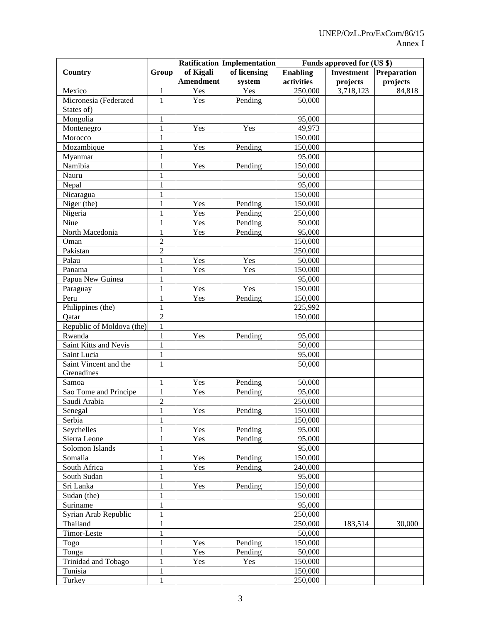|                           |                |                  | Ratification Implementation | Funds approved for (US \$) |                   |             |  |
|---------------------------|----------------|------------------|-----------------------------|----------------------------|-------------------|-------------|--|
| Country                   | Group          | of Kigali        | of licensing                | <b>Enabling</b>            | <b>Investment</b> | Preparation |  |
|                           |                | <b>Amendment</b> | system                      | activities                 | projects          | projects    |  |
| Mexico                    | $\mathbf{1}$   | Yes              | Yes                         | 250,000                    | 3,718,123         | 84,818      |  |
| Micronesia (Federated     | $\overline{1}$ | Yes              | Pending                     | 50,000                     |                   |             |  |
| States of)                |                |                  |                             |                            |                   |             |  |
| Mongolia                  | $\mathbf{1}$   |                  |                             | 95,000                     |                   |             |  |
| Montenegro                | $\mathbf{1}$   | Yes              | Yes                         | 49,973                     |                   |             |  |
| Morocco                   | 1              |                  |                             | 150,000                    |                   |             |  |
| Mozambique                | 1              | Yes              | Pending                     | 150,000                    |                   |             |  |
| Myanmar                   | 1              |                  |                             | 95,000                     |                   |             |  |
| Namibia                   | 1              | Yes              | Pending                     | 150,000                    |                   |             |  |
| Nauru                     | 1              |                  |                             | 50,000                     |                   |             |  |
| Nepal                     | 1              |                  |                             | 95,000                     |                   |             |  |
| Nicaragua                 | 1              |                  |                             | 150,000                    |                   |             |  |
| Niger (the)               | 1              | Yes              | Pending                     | 150,000                    |                   |             |  |
| Nigeria                   | 1              | Yes              | Pending                     | 250,000                    |                   |             |  |
| Niue                      | 1              | Yes              | Pending                     | 50,000                     |                   |             |  |
| North Macedonia           | 1              | Yes              | Pending                     | 95,000                     |                   |             |  |
| Oman                      | $\overline{2}$ |                  |                             | 150,000                    |                   |             |  |
| Pakistan                  | $\overline{2}$ |                  |                             | 250,000                    |                   |             |  |
| Palau                     | 1              | Yes              | Yes                         | 50,000                     |                   |             |  |
| Panama                    | 1              | Yes              | Yes                         | 150,000                    |                   |             |  |
| Papua New Guinea          | 1              |                  |                             | 95,000                     |                   |             |  |
| Paraguay                  | 1              | Yes              | Yes                         | 150,000                    |                   |             |  |
| Peru                      | 1              | Yes              | Pending                     | 150,000                    |                   |             |  |
| Philippines (the)         | $\mathbf{1}$   |                  |                             | 225,992                    |                   |             |  |
| Qatar                     | $\overline{2}$ |                  |                             | 150,000                    |                   |             |  |
| Republic of Moldova (the) | $\mathbf{1}$   |                  |                             |                            |                   |             |  |
| Rwanda                    | $\mathbf{1}$   | Yes              | Pending                     | 95,000                     |                   |             |  |
| Saint Kitts and Nevis     | $\mathbf{1}$   |                  |                             | 50,000                     |                   |             |  |
| Saint Lucia               | $\mathbf{1}$   |                  |                             | 95,000                     |                   |             |  |
| Saint Vincent and the     | $\mathbf{1}$   |                  |                             | 50,000                     |                   |             |  |
| Grenadines                |                |                  |                             |                            |                   |             |  |
| Samoa                     | 1              | Yes              | Pending                     | 50,000                     |                   |             |  |
| Sao Tome and Principe     | 1              | Yes              | Pending                     | 95,000                     |                   |             |  |
| Saudi Arabia              | $\mathfrak{2}$ |                  |                             | 250,000                    |                   |             |  |
| Senegal                   | $\mathbbm{1}$  | Yes              | Pending                     | 150,000                    |                   |             |  |
| Serbia                    |                |                  |                             | 150,000                    |                   |             |  |
| Seychelles                | 1              | Yes              | Pending                     | 95,000                     |                   |             |  |
| Sierra Leone              | 1              | Yes              | Pending                     | 95,000                     |                   |             |  |
| Solomon Islands           | 1              |                  |                             | 95,000                     |                   |             |  |
| Somalia                   | 1              | Yes              | Pending                     | 150,000                    |                   |             |  |
| South Africa              | 1              | Yes              | Pending                     | 240,000                    |                   |             |  |
| South Sudan               | 1              |                  |                             | 95,000                     |                   |             |  |
| Sri Lanka                 | 1              | Yes              | Pending                     | 150,000                    |                   |             |  |
| Sudan (the)               | 1              |                  |                             | 150,000                    |                   |             |  |
|                           | 1              |                  |                             |                            |                   |             |  |
| Suriname                  |                |                  |                             | 95,000                     |                   |             |  |
| Syrian Arab Republic      | 1              |                  |                             | 250,000                    |                   |             |  |
| Thailand                  | 1              |                  |                             | 250,000                    | 183,514           | 30,000      |  |
| Timor-Leste               | 1              |                  |                             | 50,000                     |                   |             |  |
| Togo                      | $\mathbf{1}$   | Yes              | Pending                     | 150,000                    |                   |             |  |
| Tonga                     | 1              | Yes              | Pending                     | 50,000                     |                   |             |  |
| Trinidad and Tobago       | $\mathbf{1}$   | Yes              | Yes                         | 150,000                    |                   |             |  |
| Tunisia                   | 1              |                  |                             | 150,000                    |                   |             |  |
| Turkey                    | $\mathbf{1}$   |                  |                             | 250,000                    |                   |             |  |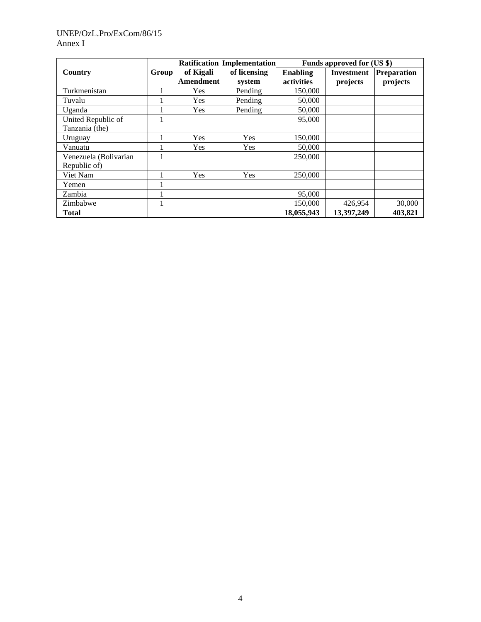# UNEP/OzL.Pro/ExCom/86/15 Annex I

|                       |       |            | <b>Ratification Implementation</b> |                 | Funds approved for (US \$) |                    |
|-----------------------|-------|------------|------------------------------------|-----------------|----------------------------|--------------------|
| Country               | Group | of Kigali  | of licensing                       | <b>Enabling</b> | <b>Investment</b>          | <b>Preparation</b> |
|                       |       | Amendment  | system                             | activities      | projects                   | projects           |
| Turkmenistan          |       | Yes        | Pending                            | 150,000         |                            |                    |
| Tuvalu                |       | Yes        | Pending                            | 50,000          |                            |                    |
| Uganda                |       | <b>Yes</b> | Pending                            | 50,000          |                            |                    |
| United Republic of    |       |            |                                    | 95,000          |                            |                    |
| Tanzania (the)        |       |            |                                    |                 |                            |                    |
| Uruguay               |       | Yes        | <b>Yes</b>                         | 150,000         |                            |                    |
| Vanuatu               |       | Yes        | Yes                                | 50,000          |                            |                    |
| Venezuela (Bolivarian |       |            |                                    | 250,000         |                            |                    |
| Republic of)          |       |            |                                    |                 |                            |                    |
| Viet Nam              |       | Yes        | Yes                                | 250,000         |                            |                    |
| Yemen                 |       |            |                                    |                 |                            |                    |
| Zambia                |       |            |                                    | 95,000          |                            |                    |
| Zimbabwe              |       |            |                                    | 150.000         | 426,954                    | 30,000             |
| <b>Total</b>          |       |            |                                    | 18,055,943      | 13,397,249                 | 403,821            |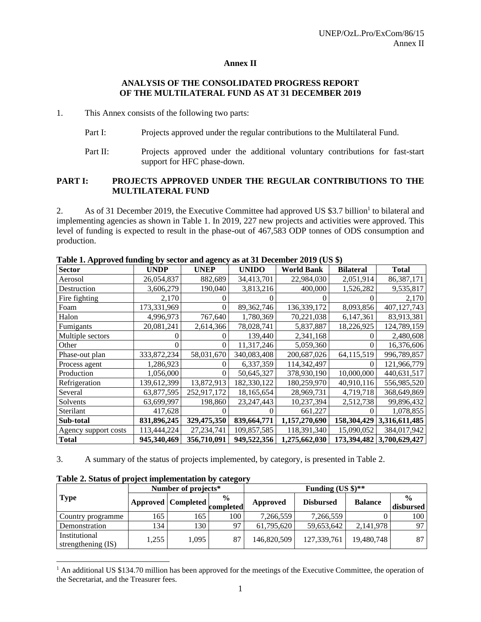# **Annex II**

# **ANALYSIS OF THE CONSOLIDATED PROGRESS REPORT OF THE MULTILATERAL FUND AS AT 31 DECEMBER 2019**

1. This Annex consists of the following two parts:

- Part I: Projects approved under the regular contributions to the Multilateral Fund.
- Part II: Projects approved under the additional voluntary contributions for fast-start support for HFC phase-down.

#### **PART I: PROJECTS APPROVED UNDER THE REGULAR CONTRIBUTIONS TO THE MULTILATERAL FUND**

2. As of 31 December 2019, the Executive Committee had approved US \$3.7 billion<sup>1</sup> to bilateral and implementing agencies as shown in Table 1. In 2019, 227 new projects and activities were approved. This level of funding is expected to result in the phase-out of 467,583 ODP tonnes of ODS consumption and production.

|                      |               |             | Table 1. Approved funding by sector and agency as at 51 December 2012 (Ob $\psi$ ) |                   |                  |                           |  |  |
|----------------------|---------------|-------------|------------------------------------------------------------------------------------|-------------------|------------------|---------------------------|--|--|
| <b>Sector</b>        | <b>UNDP</b>   | <b>UNEP</b> | <b>UNIDO</b>                                                                       | <b>World Bank</b> | <b>Bilateral</b> | Total                     |  |  |
| Aerosol              | 26,054,837    | 882,689     | 34,413,701                                                                         | 22,984,030        | 2,051,914        | 86,387,171                |  |  |
| Destruction          | 3,606,279     | 190,040     | 3,813,216                                                                          | 400,000           | 1,526,282        | 9,535,817                 |  |  |
| Fire fighting        | 2,170         |             |                                                                                    |                   |                  | 2,170                     |  |  |
| Foam                 | 173,331,969   |             | 89,362,746                                                                         | 136,339,172       | 8,093,856        | 407,127,743               |  |  |
| Halon                | 4,996,973     | 767,640     | 1,780,369                                                                          | 70,221,038        | 6,147,361        | 83,913,381                |  |  |
| Fumigants            | 20,081,241    | 2,614,366   | 78,028,741                                                                         | 5,837,887         | 18,226,925       | 124,789,159               |  |  |
| Multiple sectors     |               |             | 139,440                                                                            | 2,341,168         |                  | 2,480,608                 |  |  |
| Other                |               | O           | 11,317,246                                                                         | 5,059,360         | $\theta$         | 16,376,606                |  |  |
| Phase-out plan       | 333, 872, 234 | 58,031,670  | 340,083,408                                                                        | 200,687,026       | 64,115,519       | 996,789,857               |  |  |
| Process agent        | 1,286,923     |             | 6,337,359                                                                          | 114,342,497       |                  | 121,966,779               |  |  |
| Production           | 1,056,000     | 0           | 50,645,327                                                                         | 378,930,190       | 10,000,000       | 440,631,517               |  |  |
| Refrigeration        | 139,612,399   | 13,872,913  | 182,330,122                                                                        | 180,259,970       | 40,910,116       | 556,985,520               |  |  |
| Several              | 63,877,595    | 252,917,172 | 18,165,654                                                                         | 28,969,731        | 4,719,718        | 368,649,869               |  |  |
| Solvents             | 63,699,997    | 198,860     | 23, 247, 443                                                                       | 10,237,394        | 2,512,738        | 99,896,432                |  |  |
| Sterilant            | 417,628       |             |                                                                                    | 661,227           |                  | 1,078,855                 |  |  |
| Sub-total            | 831,896,245   | 329,475,350 | 839,664,771                                                                        | 1,157,270,690     | 158,304,429      | 3,316,611,485             |  |  |
| Agency support costs | 113,444,224   | 27,234,741  | 109,857,585                                                                        | 118,391,340       | 15,090,052       | 384,017,942               |  |  |
| <b>Total</b>         | 945,340,469   | 356,710,091 | 949,522,356                                                                        | 1,275,662,030     |                  | 173,394,482 3,700,629,427 |  |  |

Table 1. Approved funding by sector and agency as at 31 December 2010 (US  $\hat{\bf{x}}$ )

3. A summary of the status of projects implemented, by category, is presented in Table 2.

|                                     |       | Number of projects*       |                            | Funding $(US \text{ } $)\text{**}$ |                  |                |                            |  |
|-------------------------------------|-------|---------------------------|----------------------------|------------------------------------|------------------|----------------|----------------------------|--|
| <b>Type</b>                         |       | <b>Approved</b> Completed | $\frac{0}{0}$<br>completed | Approved                           | <b>Disbursed</b> | <b>Balance</b> | $\frac{0}{0}$<br>disbursed |  |
| Country programme                   | 165   | 165                       | 100                        | 7,266,559                          | 7,266,559        |                | 100                        |  |
| Demonstration                       | 134   | 130                       | 97                         | 61,795,620                         | 59,653,642       | 2,141,978      | 97.                        |  |
| Institutional<br>strengthening (IS) | 1,255 | 1,095                     | 87                         | 146,820,509                        | 127,339,761      | 19,480,748     | 87                         |  |

**Table 2. Status of project implementation by category**

<sup>&</sup>lt;sup>1</sup> An additional US \$134.70 million has been approved for the meetings of the Executive Committee, the operation of the Secretariat, and the Treasurer fees.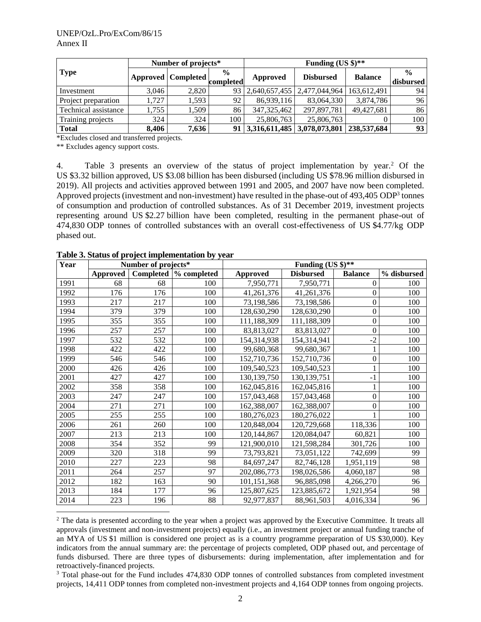|                      |       | Number of projects*          |               | Funding (US $\frac{1}{2}$ )**      |                  |                |               |  |
|----------------------|-------|------------------------------|---------------|------------------------------------|------------------|----------------|---------------|--|
| <b>Type</b>          |       |                              | $\frac{6}{9}$ | Approved                           | <b>Disbursed</b> | <b>Balance</b> | $\frac{0}{0}$ |  |
|                      |       | Approved Completed completed |               |                                    |                  |                | disbursed     |  |
| Investment           | 3.046 | 2.820                        |               | 93   2,640,657,455   2,477,044,964 |                  | 163,612,491    | 94            |  |
| Project preparation  | .727  | 1.593                        | 92            | 86,939,116                         | 83,064,330       | 3,874,786      | 96            |  |
| Technical assistance | 1,755 | 1,509                        | 86            | 347,325,462                        | 297,897,781      | 49.427.681     | 86            |  |
| Training projects    | 324   | 324                          | 100           | 25,806,763                         | 25,806,763       |                | 100           |  |
| <b>Total</b>         | 8,406 | 7,636                        |               | 91 3,316,611,485 3,078,073,801     |                  | 238,537,684    | 93            |  |

\*Excludes closed and transferred projects.

\*\* Excludes agency support costs.

4. Table 3 presents an overview of the status of project implementation by year.<sup>2</sup> Of the US \$3.32 billion approved, US \$3.08 billion has been disbursed (including US \$78.96 million disbursed in 2019). All projects and activities approved between 1991 and 2005, and 2007 have now been completed. Approved projects (investment and non-investment) have resulted in the phase-out of 493,405 ODP<sup>3</sup> tonnes of consumption and production of controlled substances. As of 31 December 2019, investment projects representing around US \$2.27 billion have been completed, resulting in the permanent phase-out of 474,830 ODP tonnes of controlled substances with an overall cost-effectiveness of US \$4.77/kg ODP phased out.

| Year |                 | Number of projects* |                        | Funding (US \$)** |                  |                  |             |  |  |  |
|------|-----------------|---------------------|------------------------|-------------------|------------------|------------------|-------------|--|--|--|
|      | <b>Approved</b> |                     | Completed  % completed | <b>Approved</b>   | <b>Disbursed</b> | <b>Balance</b>   | % disbursed |  |  |  |
| 1991 | 68              | 68                  | 100                    | 7,950,771         | 7,950,771        | 0                | 100         |  |  |  |
| 1992 | 176             | 176                 | 100                    | 41,261,376        | 41,261,376       | 0                | 100         |  |  |  |
| 1993 | 217             | 217                 | 100                    | 73,198,586        | 73,198,586       | $\boldsymbol{0}$ | 100         |  |  |  |
| 1994 | 379             | 379                 | 100                    | 128,630,290       | 128,630,290      | $\boldsymbol{0}$ | 100         |  |  |  |
| 1995 | 355             | 355                 | 100                    | 111,188,309       | 111,188,309      | 0                | 100         |  |  |  |
| 1996 | 257             | 257                 | 100                    | 83,813,027        | 83,813,027       | $\overline{0}$   | 100         |  |  |  |
| 1997 | 532             | 532                 | 100                    | 154,314,938       | 154,314,941      | $-2$             | 100         |  |  |  |
| 1998 | 422             | 422                 | 100                    | 99,680,368        | 99,680,367       |                  | 100         |  |  |  |
| 1999 | 546             | 546                 | 100                    | 152,710,736       | 152,710,736      | $\boldsymbol{0}$ | 100         |  |  |  |
| 2000 | 426             | 426                 | 100                    | 109,540,523       | 109,540,523      |                  | 100         |  |  |  |
| 2001 | 427             | 427                 | 100                    | 130,139,750       | 130,139,751      | $-1$             | 100         |  |  |  |
| 2002 | 358             | 358                 | 100                    | 162,045,816       | 162,045,816      | $\mathbf{1}$     | 100         |  |  |  |
| 2003 | 247             | 247                 | 100                    | 157,043,468       | 157,043,468      | $\boldsymbol{0}$ | 100         |  |  |  |
| 2004 | 271             | 271                 | 100                    | 162,388,007       | 162,388,007      | 0                | 100         |  |  |  |
| 2005 | 255             | 255                 | 100                    | 180,276,023       | 180,276,022      |                  | 100         |  |  |  |
| 2006 | 261             | 260                 | 100                    | 120,848,004       | 120,729,668      | 118,336          | 100         |  |  |  |
| 2007 | 213             | 213                 | 100                    | 120, 144, 867     | 120,084,047      | 60,821           | 100         |  |  |  |
| 2008 | 354             | 352                 | 99                     | 121,900,010       | 121,598,284      | 301,726          | 100         |  |  |  |
| 2009 | 320             | 318                 | 99                     | 73,793,821        | 73,051,122       | 742,699          | 99          |  |  |  |
| 2010 | 227             | 223                 | 98                     | 84,697,247        | 82,746,128       | 1,951,119        | 98          |  |  |  |
| 2011 | 264             | 257                 | 97                     | 202,086,773       | 198,026,586      | 4,060,187        | 98          |  |  |  |
| 2012 | 182             | 163                 | 90                     | 101,151,368       | 96,885,098       | 4,266,270        | 96          |  |  |  |
| 2013 | 184             | 177                 | 96                     | 125,807,625       | 123,885,672      | 1,921,954        | 98          |  |  |  |
| 2014 | 223             | 196                 | 88                     | 92,977,837        | 88,961,503       | 4,016,334        | 96          |  |  |  |

**Table 3. Status of project implementation by year**

<sup>3</sup> Total phase-out for the Fund includes 474,830 ODP tonnes of controlled substances from completed investment projects, 14,411 ODP tonnes from completed non-investment projects and 4,164 ODP tonnes from ongoing projects.

<sup>&</sup>lt;sup>2</sup> The data is presented according to the year when a project was approved by the Executive Committee. It treats all approvals (investment and non-investment projects) equally (i.e., an investment project or annual funding tranche of an MYA of US \$1 million is considered one project as is a country programme preparation of US \$30,000). Key indicators from the annual summary are: the percentage of projects completed, ODP phased out, and percentage of funds disbursed. There are three types of disbursements: during implementation, after implementation and for retroactively-financed projects.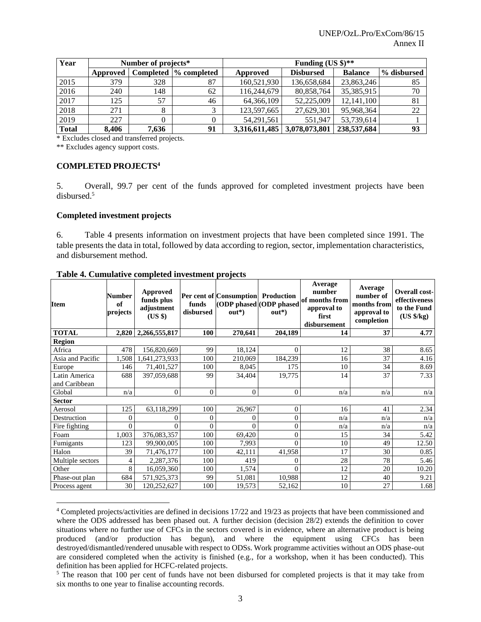| Year         |          | Number of projects* |                        | Funding $(US \text{ } $)\text{**}$ |                               |                |             |  |
|--------------|----------|---------------------|------------------------|------------------------------------|-------------------------------|----------------|-------------|--|
|              | Approved |                     | Completed  % completed | Approved                           | <b>Disbursed</b>              | <b>Balance</b> | % disbursed |  |
| 2015         | 379      | 328                 | 87                     | 160,521,930                        | 136,658,684                   | 23,863,246     | 85          |  |
| 2016         | 240      | 148                 | 62                     | 116,244,679                        | 80,858,764                    | 35,385,915     | 70          |  |
| 2017         | 125      | 57                  | 46                     | 64,366,109                         | 52,225,009                    | 12,141,100     | 81          |  |
| 2018         | 271      |                     |                        | 123,597,665                        | 27,629,301                    | 95,968,364     | 22          |  |
| 2019         | 227      |                     |                        | 54.291.561                         | 551.947                       | 53,739,614     |             |  |
| <b>Total</b> | 8.406    | 7,636               | 91                     |                                    | 3,316,611,485   3,078,073,801 | 238,537,684    | 93          |  |

\* Excludes closed and transferred projects.

\*\* Excludes agency support costs.

# **COMPLETED PROJECTS<sup>4</sup>**

5. Overall, 99.7 per cent of the funds approved for completed investment projects have been disbursed.<sup>5</sup>

#### **Completed investment projects**

6. Table 4 presents information on investment projects that have been completed since 1991. The table presents the data in total, followed by data according to region, sector, implementation characteristics, and disbursement method.

| <b>Item</b>      | Number<br>of<br>projects | Approved<br>funds plus<br>adjustment<br>(US \$) | funds<br>disbursed | Per cent of Consumption Production<br>$out*$ | (ODP phased (ODP phased<br>$out*$ | Average<br>number<br>of months from<br>approval to<br>first<br>disbursement | Average<br>number of<br>months from<br>approval to<br>completion | <b>Overall cost-</b><br>effectiveness<br>to the Fund<br>$(US \frac{6}{5}kg)$ |  |  |  |
|------------------|--------------------------|-------------------------------------------------|--------------------|----------------------------------------------|-----------------------------------|-----------------------------------------------------------------------------|------------------------------------------------------------------|------------------------------------------------------------------------------|--|--|--|
| <b>TOTAL</b>     | 2,820                    | 2,266,555,817                                   | 100                | 270,641                                      | 204,189                           | 14                                                                          | 37                                                               | 4.77                                                                         |  |  |  |
| <b>Region</b>    |                          |                                                 |                    |                                              |                                   |                                                                             |                                                                  |                                                                              |  |  |  |
| Africa           | 478                      | 156,820,669                                     | 99                 | 18,124                                       | $\Omega$                          | 12                                                                          | 38                                                               | 8.65                                                                         |  |  |  |
| Asia and Pacific | 1,508                    | 1,641,273,933                                   | 100                | 210,069                                      | 184,239                           | 16                                                                          | 37                                                               | 4.16                                                                         |  |  |  |
| Europe           | 146                      | 71,401,527                                      | 100                | 8,045                                        | 175                               | 10                                                                          | 34                                                               | 8.69                                                                         |  |  |  |
| Latin America    | 688                      | 397,059,688                                     | 99                 | 34,404                                       | 19,775                            | 14                                                                          | 37                                                               | 7.33                                                                         |  |  |  |
| and Caribbean    |                          |                                                 |                    |                                              |                                   |                                                                             |                                                                  |                                                                              |  |  |  |
| Global           | n/a                      | $\mathbf{0}$                                    | $\mathbf{0}$       | $\theta$                                     | $\overline{0}$                    | n/a                                                                         | n/a                                                              | n/a                                                                          |  |  |  |
| <b>Sector</b>    |                          |                                                 |                    |                                              |                                   |                                                                             |                                                                  |                                                                              |  |  |  |
| Aerosol          | 125                      | 63,118,299                                      | 100                | 26,967                                       | $\mathbf{0}$                      | 16                                                                          | 41                                                               | 2.34                                                                         |  |  |  |
| Destruction      | $\theta$                 | $\Omega$                                        | $\overline{0}$     | $\Omega$                                     | $\theta$                          | n/a                                                                         | n/a                                                              | n/a                                                                          |  |  |  |
| Fire fighting    | $\theta$                 | $\Omega$                                        | $\theta$           | $\Omega$                                     | $\theta$                          | n/a                                                                         | n/a                                                              | n/a                                                                          |  |  |  |
| Foam             | 1,003                    | 376,083,357                                     | 100                | 69,420                                       | $\theta$                          | 15                                                                          | 34                                                               | 5.42                                                                         |  |  |  |
| Fumigants        | 123                      | 99,900,005                                      | 100                | 7,993                                        | $\theta$                          | 10                                                                          | 49                                                               | 12.50                                                                        |  |  |  |
| Halon            | 39                       | 71,476,177                                      | 100                | 42,111                                       | 41,958                            | 17                                                                          | 30                                                               | 0.85                                                                         |  |  |  |
| Multiple sectors | 4                        | 2,287,376                                       | 100                | 419                                          | $\theta$                          | 28                                                                          | 78                                                               | 5.46                                                                         |  |  |  |
| Other            | 8                        | 16,059,360                                      | 100                | 1,574                                        | $\Omega$                          | 12                                                                          | 20                                                               | 10.20                                                                        |  |  |  |
| Phase-out plan   | 684                      | 571,925,373                                     | 99                 | 51,081                                       | 10,988                            | 12                                                                          | 40                                                               | 9.21                                                                         |  |  |  |
| Process agent    | 30                       | 120,252,627                                     | 100                | 19,573                                       | 52,162                            | 10                                                                          | 27                                                               | 1.68                                                                         |  |  |  |

#### **Table 4. Cumulative completed investment projects**

<sup>4</sup> Completed projects/activities are defined in decisions 17/22 and 19/23 as projects that have been commissioned and where the ODS addressed has been phased out. A further decision (decision 28/2) extends the definition to cover situations where no further use of CFCs in the sectors covered is in evidence, where an alternative product is being produced (and/or production has begun), and where the equipment using CFCs has been destroyed/dismantled/rendered unusable with respect to ODSs. Work programme activities without an ODS phase-out are considered completed when the activity is finished (e.g., for a workshop, when it has been conducted). This definition has been applied for HCFC-related projects.

<sup>&</sup>lt;sup>5</sup> The reason that 100 per cent of funds have not been disbursed for completed projects is that it may take from six months to one year to finalise accounting records.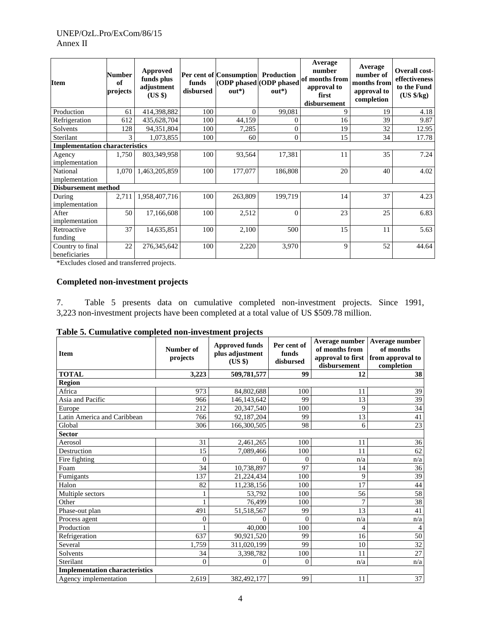| <b>Item</b>                           | <b>Number</b><br>of<br>projects | Approved<br>funds plus<br>adjustment<br>(US \$) | funds<br>disbursed | Per cent of Consumption Production<br>$out*$ | (ODP phased ODP phased<br>$out*$ | Average<br>number<br>of months from<br>approval to<br>first<br>disbursement | Average<br>number of<br>months from<br>approval to<br>completion | <b>Overall cost-</b><br>effectiveness<br>to the Fund<br>$(US \frac{6}{5}kg)$ |
|---------------------------------------|---------------------------------|-------------------------------------------------|--------------------|----------------------------------------------|----------------------------------|-----------------------------------------------------------------------------|------------------------------------------------------------------|------------------------------------------------------------------------------|
| Production                            | 61                              | 414,398,882                                     | 100                | $\Omega$                                     | 99,081                           | 9                                                                           | 19                                                               | 4.18                                                                         |
| Refrigeration                         | 612                             | 435,628,704                                     | 100                | 44,159                                       | $\Omega$                         | 16                                                                          | 39                                                               | 9.87                                                                         |
| Solvents                              | 128                             | 94,351,804                                      | 100                | 7,285                                        | $\overline{0}$                   | 19                                                                          | 32                                                               | 12.95                                                                        |
| Sterilant                             | 3                               | 1,073,855                                       | 100                | 60                                           | $\overline{0}$                   | 15                                                                          | 34                                                               | 17.78                                                                        |
| <b>Implementation characteristics</b> |                                 |                                                 |                    |                                              |                                  |                                                                             |                                                                  |                                                                              |
| Agency                                | 1,750                           | 803,349,958                                     | 100                | 93,564                                       | 17,381                           | 11                                                                          | 35                                                               | 7.24                                                                         |
| implementation                        |                                 |                                                 |                    |                                              |                                  |                                                                             |                                                                  |                                                                              |
| National                              | 1,070                           | 1,463,205,859                                   | 100                | 177,077                                      | 186,808                          | 20                                                                          | 40                                                               | 4.02                                                                         |
| implementation                        |                                 |                                                 |                    |                                              |                                  |                                                                             |                                                                  |                                                                              |
| <b>Disbursement method</b>            |                                 |                                                 |                    |                                              |                                  |                                                                             |                                                                  |                                                                              |
| During                                | 2,711                           | 1,958,407,716                                   | 100                | 263,809                                      | 199,719                          | 14                                                                          | 37                                                               | 4.23                                                                         |
| implementation                        |                                 |                                                 |                    |                                              |                                  |                                                                             |                                                                  |                                                                              |
| After                                 | 50                              | 17,166,608                                      | 100                | 2,512                                        | $\Omega$                         | 23                                                                          | 25                                                               | 6.83                                                                         |
| implementation                        |                                 |                                                 |                    |                                              |                                  |                                                                             |                                                                  |                                                                              |
| Retroactive                           | 37                              | 14,635,851                                      | 100                | 2,100                                        | 500                              | 15                                                                          | 11                                                               | 5.63                                                                         |
| funding                               |                                 |                                                 |                    |                                              |                                  |                                                                             |                                                                  |                                                                              |
| Country to final                      | 22                              | 276,345,642                                     | 100                | 2,220                                        | 3,970                            | 9                                                                           | 52                                                               | 44.64                                                                        |
| beneficiaries                         |                                 |                                                 |                    |                                              |                                  |                                                                             |                                                                  |                                                                              |

\*Excludes closed and transferred projects.

# **Completed non-investment projects**

7. Table 5 presents data on cumulative completed non-investment projects. Since 1991, 3,223 non-investment projects have been completed at a total value of US \$509.78 million.

| Table 5. Cumulative completed non-investment projects |  |  |
|-------------------------------------------------------|--|--|
|                                                       |  |  |

| <b>Item</b>                           | Number of<br>projects | <b>Approved funds</b><br>plus adjustment<br>(US \$) | Per cent of<br>funds<br>disbursed | of months from<br>disbursement | Average number   Average number<br>of months<br>approval to first from approval to<br>completion |
|---------------------------------------|-----------------------|-----------------------------------------------------|-----------------------------------|--------------------------------|--------------------------------------------------------------------------------------------------|
| <b>TOTAL</b>                          | 3,223                 | 509,781,577                                         | 99                                | 12                             | 38                                                                                               |
| <b>Region</b>                         |                       |                                                     |                                   |                                |                                                                                                  |
| Africa                                | 973                   | 84,802,688                                          | 100                               | 11                             | 39                                                                                               |
| Asia and Pacific                      | 966                   | 146, 143, 642                                       | 99                                | 13                             | 39                                                                                               |
| Europe                                | 212                   | 20,347,540                                          | 100                               | 9                              | 34                                                                                               |
| Latin America and Caribbean           | 766                   | 92,187,204                                          | 99                                | 13                             | 41                                                                                               |
| Global                                | 306                   | 166,300,505                                         | 98                                | 6                              | $\overline{23}$                                                                                  |
| <b>Sector</b>                         |                       |                                                     |                                   |                                |                                                                                                  |
| Aerosol                               | 31                    | 2,461,265                                           | 100                               | 11                             | 36                                                                                               |
| Destruction                           | 15                    | 7,089,466                                           | 100                               | 11                             | 62                                                                                               |
| Fire fighting                         | $\theta$              | $\Omega$                                            | $\theta$                          | n/a                            | n/a                                                                                              |
| Foam                                  | 34                    | 10,738,897                                          | 97                                | 14                             | 36                                                                                               |
| Fumigants                             | 137                   | 21,224,434                                          | 100                               | 9                              | 39                                                                                               |
| Halon                                 | 82                    | 11,238,156                                          | 100                               | 17                             | 44                                                                                               |
| Multiple sectors                      |                       | 53,792                                              | 100                               | 56                             | 58                                                                                               |
| Other                                 |                       | 76,499                                              | 100                               | 7                              | 38                                                                                               |
| Phase-out plan                        | 491                   | 51,518,567                                          | 99                                | 13                             | 41                                                                                               |
| Process agent                         | $\theta$              | $\Omega$                                            | $\theta$                          | n/a                            | n/a                                                                                              |
| Production                            |                       | 40,000                                              | 100                               | 4                              | $\overline{4}$                                                                                   |
| Refrigeration                         | 637                   | 90,921,520                                          | 99                                | 16                             | 50                                                                                               |
| Several                               | 1,759                 | 311,020,199                                         | 99                                | 10                             | $\overline{32}$                                                                                  |
| Solvents                              | 34                    | 3,398,782                                           | 100                               | 11                             | 27                                                                                               |
| Sterilant                             | $\mathbf{0}$          | $\mathbf{0}$                                        | $\theta$                          | n/a                            | n/a                                                                                              |
| <b>Implementation characteristics</b> |                       |                                                     |                                   |                                |                                                                                                  |
| Agency implementation                 | 2,619                 | 382,492,177                                         | 99                                | 11                             | 37                                                                                               |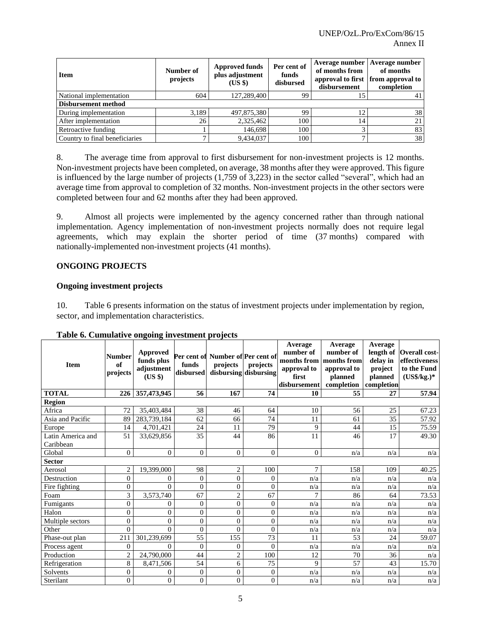| <b>Item</b>                    | Number of<br>projects | <b>Approved funds</b><br>plus adjustment<br>(US \$) | Per cent of<br>funds<br>disbursed | Average number   Average number<br>of months from<br>disbursement | of months<br>approval to first from approval to<br>completion |
|--------------------------------|-----------------------|-----------------------------------------------------|-----------------------------------|-------------------------------------------------------------------|---------------------------------------------------------------|
| National implementation        | 604                   | 127,289,400                                         | 99                                | 15                                                                |                                                               |
| Disbursement method            |                       |                                                     |                                   |                                                                   |                                                               |
| During implementation          | 3.189                 | 497,875,380                                         | 99                                | 12                                                                | 38                                                            |
| After implementation           | 26                    | 2,325,462                                           | 100                               | 14                                                                | 21                                                            |
| Retroactive funding            |                       | 146,698                                             | 100                               |                                                                   | 83                                                            |
| Country to final beneficiaries |                       | 9,434,037                                           | 100                               | -                                                                 | 38 <sup>1</sup>                                               |

8. The average time from approval to first disbursement for non-investment projects is 12 months. Non-investment projects have been completed, on average, 38 months after they were approved. This figure is influenced by the large number of projects (1,759 of 3,223) in the sector called "several", which had an average time from approval to completion of 32 months. Non-investment projects in the other sectors were completed between four and 62 months after they had been approved.

9. Almost all projects were implemented by the agency concerned rather than through national implementation. Agency implementation of non-investment projects normally does not require legal agreements, which may explain the shorter period of time (37 months) compared with nationally-implemented non-investment projects (41 months).

# **ONGOING PROJECTS**

# **Ongoing investment projects**

10. Table 6 presents information on the status of investment projects under implementation by region, sector, and implementation characteristics.

| <b>Item</b>                    | <b>Number</b><br>of<br>projects | $\frac{1}{2}$<br><b>Approved</b><br>funds plus<br>adjustment<br>$(US \$ | funds<br>disbursed | Per cent of Number of Per cent of<br>projects | projects<br>disbursing disbursing | Average<br>number of<br>months from<br>approval to<br>first<br>disbursement | Average<br>number of<br>months from<br>approval to<br>planned<br>completion | Average<br>length of<br>delay in<br>project<br>planned<br>completion | <b>Overall cost-</b><br>effectiveness<br>to the Fund<br>$(US\$/kg.)*$ |
|--------------------------------|---------------------------------|-------------------------------------------------------------------------|--------------------|-----------------------------------------------|-----------------------------------|-----------------------------------------------------------------------------|-----------------------------------------------------------------------------|----------------------------------------------------------------------|-----------------------------------------------------------------------|
| <b>TOTAL</b>                   | 226                             | 357,473,945                                                             | 56                 | 167                                           | 74                                | 10                                                                          | 55                                                                          | 27                                                                   | 57.94                                                                 |
| <b>Region</b>                  |                                 |                                                                         |                    |                                               |                                   |                                                                             |                                                                             |                                                                      |                                                                       |
| Africa                         | 72                              | 35,403,484                                                              | 38                 | 46                                            | 64                                | 10                                                                          | 56                                                                          | 25                                                                   | 67.23                                                                 |
| Asia and Pacific               | 89                              | 283,739,184                                                             | 62                 | 66                                            | 74                                | 11                                                                          | 61                                                                          | 35                                                                   | 57.92                                                                 |
| Europe                         | 14                              | 4,701,421                                                               | 24                 | 11                                            | 79                                | 9                                                                           | 44                                                                          | 15                                                                   | 75.59                                                                 |
| Latin America and<br>Caribbean | 51                              | 33,629,856                                                              | 35                 | 44                                            | 86                                | 11                                                                          | 46                                                                          | 17                                                                   | 49.30                                                                 |
| Global                         | $\Omega$                        | $\Omega$                                                                | $\Omega$           | $\Omega$                                      | $\Omega$                          | $\Omega$                                                                    | n/a                                                                         | n/a                                                                  | n/a                                                                   |
| <b>Sector</b>                  |                                 |                                                                         |                    |                                               |                                   |                                                                             |                                                                             |                                                                      |                                                                       |
| Aerosol                        | $\overline{2}$                  | 19.399.000                                                              | 98                 | 2                                             | 100                               | 7                                                                           | 158                                                                         | 109                                                                  | 40.25                                                                 |
| Destruction                    | $\mathbf{0}$                    | $\mathbf{0}$                                                            | $\mathbf{0}$       | $\overline{0}$                                | $\overline{0}$                    | n/a                                                                         | n/a                                                                         | n/a                                                                  | n/a                                                                   |
| Fire fighting                  | $\overline{0}$                  | $\Omega$                                                                | $\overline{0}$     | $\overline{0}$                                | $\theta$                          | n/a                                                                         | n/a                                                                         | n/a                                                                  | n/a                                                                   |
| Foam                           | $\overline{3}$                  | 3,573,740                                                               | 67                 | $\overline{c}$                                | 67                                |                                                                             | 86                                                                          | 64                                                                   | 73.53                                                                 |
| Fumigants                      | $\boldsymbol{0}$                | $\mathbf{0}$                                                            | $\overline{0}$     | $\overline{0}$                                | $\Omega$                          | n/a                                                                         | n/a                                                                         | n/a                                                                  | n/a                                                                   |
| Halon                          | $\boldsymbol{0}$                | $\overline{0}$                                                          | $\boldsymbol{0}$   | $\theta$                                      | $\overline{0}$                    | n/a                                                                         | n/a                                                                         | n/a                                                                  | n/a                                                                   |
| Multiple sectors               | $\theta$                        | $\mathbf{0}$                                                            | $\mathbf{0}$       | $\theta$                                      | $\theta$                          | n/a                                                                         | n/a                                                                         | n/a                                                                  | n/a                                                                   |
| Other                          | $\overline{0}$                  | $\Omega$                                                                | $\theta$           | $\theta$                                      | $\theta$                          | n/a                                                                         | n/a                                                                         | n/a                                                                  | n/a                                                                   |
| Phase-out plan                 | 211                             | 301,239,699                                                             | 55                 | 155                                           | 73                                | 11                                                                          | 53                                                                          | 24                                                                   | 59.07                                                                 |
| Process agent                  | $\theta$                        | $\Omega$                                                                | $\overline{0}$     | $\overline{0}$                                | $\Omega$                          | n/a                                                                         | n/a                                                                         | n/a                                                                  | n/a                                                                   |
| Production                     | $\overline{c}$                  | 24,790,000                                                              | 44                 | $\overline{c}$                                | 100                               | 12                                                                          | 70                                                                          | 36                                                                   | n/a                                                                   |
| Refrigeration                  | 8                               | 8,471,506                                                               | 54                 | 6                                             | 75                                | 9                                                                           | 57                                                                          | 43                                                                   | 15.70                                                                 |
| Solvents                       | $\boldsymbol{0}$                | $\boldsymbol{0}$                                                        | $\boldsymbol{0}$   | $\overline{0}$                                | $\boldsymbol{0}$                  | n/a                                                                         | n/a                                                                         | n/a                                                                  | n/a                                                                   |
| Sterilant                      | $\overline{0}$                  | $\mathbf{0}$                                                            | $\overline{0}$     | $\theta$                                      | $\Omega$                          | n/a                                                                         | n/a                                                                         | n/a                                                                  | n/a                                                                   |

#### **Table 6. Cumulative ongoing investment projects**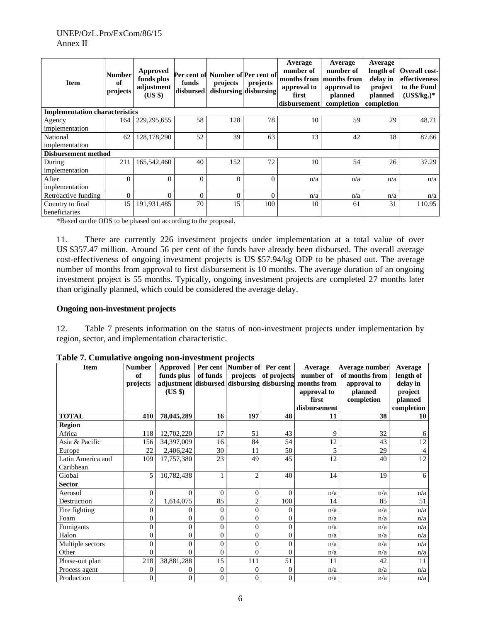| <b>Item</b>                           | <b>Number</b><br>of<br>projects | <b>Approved</b><br>funds plus<br>adjustment<br>$(US \$ | funds<br>disbursed | Per cent of Number of Per cent of<br>projects | projects<br>disbursing disbursing | Average<br>number of<br>months from months from<br>approval to<br>first<br>disbursement | Average<br>number of<br>approval to<br>planned<br>completion | Average<br>delay in<br>project<br>planned<br>completion | length of Overall cost-<br>effectiveness<br>to the Fund<br>$(US\$/kg.)*$ |
|---------------------------------------|---------------------------------|--------------------------------------------------------|--------------------|-----------------------------------------------|-----------------------------------|-----------------------------------------------------------------------------------------|--------------------------------------------------------------|---------------------------------------------------------|--------------------------------------------------------------------------|
| <b>Implementation characteristics</b> |                                 |                                                        |                    |                                               |                                   |                                                                                         |                                                              |                                                         |                                                                          |
| Agency                                | 164                             | 229, 295, 655                                          | 58                 | 128                                           | 78                                | 10                                                                                      | 59                                                           | 29                                                      | 48.71                                                                    |
| implementation                        |                                 |                                                        |                    |                                               |                                   |                                                                                         |                                                              |                                                         |                                                                          |
| National                              | 62                              | 128,178,290                                            | 52                 | 39                                            | 63                                | 13                                                                                      | 42                                                           | 18                                                      | 87.66                                                                    |
| implementation                        |                                 |                                                        |                    |                                               |                                   |                                                                                         |                                                              |                                                         |                                                                          |
| <b>Disbursement method</b>            |                                 |                                                        |                    |                                               |                                   |                                                                                         |                                                              |                                                         |                                                                          |
| During                                | 211                             | 165,542,460                                            | 40                 | 152                                           | 72                                | 10                                                                                      | 54                                                           | 26                                                      | 37.29                                                                    |
| implementation                        |                                 |                                                        |                    |                                               |                                   |                                                                                         |                                                              |                                                         |                                                                          |
| After                                 | $\theta$                        | $\Omega$                                               | $\Omega$           | $\theta$                                      | $\theta$                          | n/a                                                                                     | n/a                                                          | n/a                                                     | n/a                                                                      |
| implementation                        |                                 |                                                        |                    |                                               |                                   |                                                                                         |                                                              |                                                         |                                                                          |
| Retroactive funding                   | $\mathbf{0}$                    | $\Omega$                                               | $\overline{0}$     | $\theta$                                      | $\Omega$                          | n/a                                                                                     | n/a                                                          | n/a                                                     | n/a                                                                      |
| Country to final                      | 15                              | 191,931,485                                            | 70                 | 15                                            | 100                               | 10                                                                                      | 61                                                           | 31                                                      | 110.95                                                                   |
| beneficiaries                         |                                 |                                                        |                    |                                               |                                   |                                                                                         |                                                              |                                                         |                                                                          |

\*Based on the ODS to be phased out according to the proposal.

11. There are currently 226 investment projects under implementation at a total value of over US \$357.47 million. Around 56 per cent of the funds have already been disbursed. The overall average cost-effectiveness of ongoing investment projects is US \$57.94/kg ODP to be phased out. The average number of months from approval to first disbursement is 10 months. The average duration of an ongoing investment project is 55 months. Typically, ongoing investment projects are completed 27 months later than originally planned, which could be considered the average delay.

#### **Ongoing non-investment projects**

12. Table 7 presents information on the status of non-investment projects under implementation by region, sector, and implementation characteristic.

| <b>Item</b>       | <b>Number</b><br>of | <b>Approved</b><br>funds plus              | of funds       | Per cent Number of Per cent<br>projects | of projects    | Average<br>number of | Average number<br>of months from | Average<br>length of |
|-------------------|---------------------|--------------------------------------------|----------------|-----------------------------------------|----------------|----------------------|----------------------------------|----------------------|
|                   | projects            | adjustment disbursed disbursing disbursing |                |                                         |                | months from          | approval to                      | delay in             |
|                   |                     | (US \$)                                    |                |                                         |                | approval to          | planned                          | project              |
|                   |                     |                                            |                |                                         |                | first                | completion                       | planned              |
|                   |                     |                                            |                |                                         |                | disbursement         |                                  | completion           |
| <b>TOTAL</b>      | 410                 | 78,045,289                                 | 16             | 197                                     | 48             | 11                   | 38                               | 10                   |
| <b>Region</b>     |                     |                                            |                |                                         |                |                      |                                  |                      |
| Africa            | 118                 | 12,702,220                                 | 17             | 51                                      | 43             | 9                    | 32                               | 6                    |
| Asia & Pacific    | 156                 | 34,397,009                                 | 16             | 84                                      | 54             | 12                   | 43                               | 12                   |
| Europe            | 22                  | 2,406,242                                  | 30             | 11                                      | 50             | 5                    | 29                               | $\overline{4}$       |
| Latin America and | 109                 | 17,757,380                                 | 23             | 49                                      | 45             | 12                   | 40                               | 12                   |
| Caribbean         |                     |                                            |                |                                         |                |                      |                                  |                      |
| Global            | 5                   | 10,782,438                                 |                | $\mathfrak{2}$                          | 40             | 14                   | 19                               | 6                    |
| <b>Sector</b>     |                     |                                            |                |                                         |                |                      |                                  |                      |
| Aerosol           | $\overline{0}$      | $\Omega$                                   | $\theta$       | $\overline{0}$                          | $\Omega$       | n/a                  | n/a                              | n/a                  |
| Destruction       | $\overline{2}$      | 1,614,075                                  | 85             | $\overline{2}$                          | 100            | 14                   | 85                               | 51                   |
| Fire fighting     | $\overline{0}$      | 0                                          | $\mathbf{0}$   | $\overline{0}$                          | $\overline{0}$ | n/a                  | n/a                              | n/a                  |
| Foam              | $\theta$            | 0                                          | $\theta$       | $\overline{0}$                          | $\theta$       | n/a                  | n/a                              | n/a                  |
| Fumigants         | 0                   | 0                                          | $\overline{0}$ | $\overline{0}$                          | 0              | n/a                  | n/a                              | n/a                  |
| Halon             | $\theta$            | 0                                          | $\overline{0}$ | $\overline{0}$                          | $\overline{0}$ | n/a                  | n/a                              | n/a                  |
| Multiple sectors  | 0                   | 0                                          | $\overline{0}$ | $\overline{0}$                          | $\Omega$       | n/a                  | n/a                              | n/a                  |
| Other             | $\overline{0}$      | $\Omega$                                   | $\theta$       | $\theta$                                | $\theta$       | n/a                  | n/a                              | n/a                  |
| Phase-out plan    | 218                 | 38,881,288                                 | 15             | 111                                     | 51             | 11                   | 42                               | 11                   |
| Process agent     | 0                   | 0                                          | $\overline{0}$ | $\overline{0}$                          | $\overline{0}$ | n/a                  | n/a                              | n/a                  |
| Production        | 0                   | 0                                          | $\theta$       | $\overline{0}$                          | 0              | n/a                  | n/a                              | n/a                  |

**Table 7. Cumulative ongoing non-investment projects**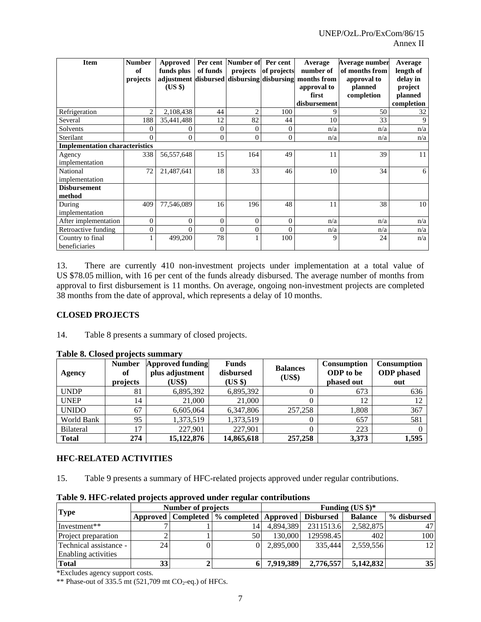| <b>Item</b>                           | <b>Number</b>  | Approved                                   |                  | Per cent Number of | Per cent    | Average      | Average number | Average    |
|---------------------------------------|----------------|--------------------------------------------|------------------|--------------------|-------------|--------------|----------------|------------|
|                                       | of             | funds plus                                 | of funds         | projects           | of projects | number of    | of months from | length of  |
|                                       | projects       | adjustment disbursed disbursing disbursing |                  |                    |             | months from  | approval to    | delay in   |
|                                       |                | (US \$)                                    |                  |                    |             | approval to  | planned        | project    |
|                                       |                |                                            |                  |                    |             | first        | completion     | planned    |
|                                       |                |                                            |                  |                    |             | disbursement |                | completion |
| Refrigeration                         | $\mathfrak{D}$ | 2,108,438                                  | 44               | $\overline{c}$     | 100         | Q            | 50             | 32         |
| Several                               | 188            | 35,441,488                                 | 12               | 82                 | 44          | 10           | 33             | 9          |
| Solvents                              | 0              |                                            | $\boldsymbol{0}$ | $\overline{0}$     | 0           | n/a          | n/a            | n/a        |
| Sterilant                             | $\Omega$       | $\Omega$                                   | $\theta$         | $\Omega$           | $\theta$    | n/a          | n/a            | n/a        |
| <b>Implementation characteristics</b> |                |                                            |                  |                    |             |              |                |            |
| Agency                                | 338            | 56,557,648                                 | 15               | 164                | 49          | 11           | 39             | 11         |
| implementation                        |                |                                            |                  |                    |             |              |                |            |
| National                              | 72             | 21,487,641                                 | 18               | 33                 | 46          | 10           | 34             | 6          |
| implementation                        |                |                                            |                  |                    |             |              |                |            |
| <b>Disbursement</b>                   |                |                                            |                  |                    |             |              |                |            |
| method                                |                |                                            |                  |                    |             |              |                |            |
| During                                | 409            | 77,546,089                                 | 16               | 196                | 48          | 11           | 38             | 10         |
| implementation                        |                |                                            |                  |                    |             |              |                |            |
| After implementation                  | $\mathbf{0}$   | $\theta$                                   | $\overline{0}$   | $\overline{0}$     | $\Omega$    | n/a          | n/a            | n/a        |
| Retroactive funding                   | $\overline{0}$ | $\Omega$                                   | $\theta$         | $\overline{0}$     | 0           | n/a          | n/a            | n/a        |
| Country to final                      |                | 499,200                                    | 78               | 1                  | 100         | 9            | 24             | n/a        |
| beneficiaries                         |                |                                            |                  |                    |             |              |                |            |

13. There are currently 410 non-investment projects under implementation at a total value of US \$78.05 million, with 16 per cent of the funds already disbursed. The average number of months from approval to first disbursement is 11 months. On average, ongoing non-investment projects are completed 38 months from the date of approval, which represents a delay of 10 months.

# **CLOSED PROJECTS**

14. Table 8 presents a summary of closed projects.

| Agency           | <b>Number</b><br>of<br>projects | <b>Approved funding</b><br>plus adjustment<br>(US\$) | <b>Funds</b><br>disbursed<br>(US \$) | <b>Balances</b><br>(US\$) | <b>Consumption</b><br>ODP to be<br>phased out | <b>Consumption</b><br><b>ODP</b> phased<br>out |
|------------------|---------------------------------|------------------------------------------------------|--------------------------------------|---------------------------|-----------------------------------------------|------------------------------------------------|
| <b>UNDP</b>      | 81                              | 6,895,392                                            | 6,895,392                            |                           | 673                                           | 636                                            |
| <b>UNEP</b>      | 14                              | 21,000                                               | 21,000                               |                           | 12                                            | 12                                             |
| <b>UNIDO</b>     | 67                              | 6,605,064                                            | 6,347,806                            | 257,258                   | 1,808                                         | 367                                            |
| World Bank       | 95                              | 1,373,519                                            | 1,373,519                            |                           | 657                                           | 581                                            |
| <b>Bilateral</b> | 17                              | 227,901                                              | 227,901                              |                           | 223                                           |                                                |
| <b>Total</b>     | 274                             | 15,122,876                                           | 14,865,618                           | 257,258                   | 3,373                                         | 1,595                                          |

#### **Table 8. Closed projects summary**

# **HFC-RELATED ACTIVITIES**

15. Table 9 presents a summary of HFC-related projects approved under regular contributions.

| <b>Type</b>            |    | <b>Number of projects</b> |                                                           | Funding $(US \text{ } $)\text{*}$ |           |                |                 |  |
|------------------------|----|---------------------------|-----------------------------------------------------------|-----------------------------------|-----------|----------------|-----------------|--|
|                        |    |                           | Approved   Completed   % completed   Approved   Disbursed |                                   |           | <b>Balance</b> | % disbursed     |  |
| Investment**           |    |                           | 14.                                                       | 4.894.389                         | 2311513.6 | 2,582,875      |                 |  |
| Project preparation    |    |                           | 50                                                        | 130,000                           | 129598.45 | 402            | 1001            |  |
| Technical assistance - | 24 |                           | $\overline{0}$                                            | 2.895,000                         | 335,444   | 2.559.556      | 12              |  |
| Enabling activities    |    |                           |                                                           |                                   |           |                |                 |  |
| <b>Total</b>           | 33 |                           |                                                           | 7,919,389                         | 2,776,557 | 5,142,832      | 35 <sup>1</sup> |  |

# **Table 9. HFC-related projects approved under regular contributions**

\*Excludes agency support costs.

\*\* Phase-out of  $335.\overline{5}$  mt (521,709 mt CO<sub>2</sub>-eq.) of HFCs.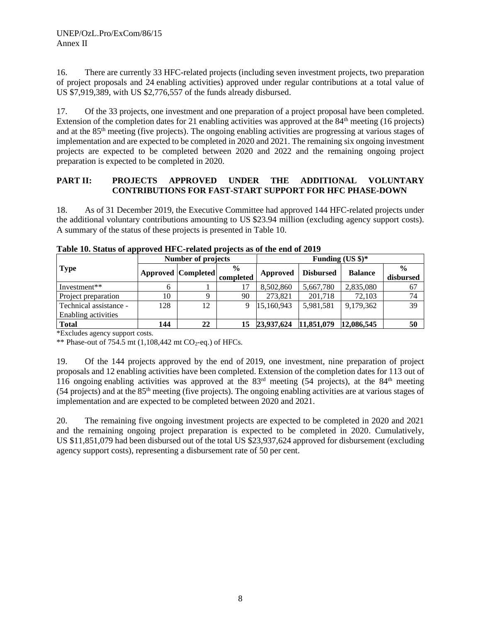16. There are currently 33 HFC-related projects (including seven investment projects, two preparation of project proposals and 24 enabling activities) approved under regular contributions at a total value of US \$7,919,389, with US \$2,776,557 of the funds already disbursed.

17. Of the 33 projects, one investment and one preparation of a project proposal have been completed. Extension of the completion dates for 21 enabling activities was approved at the 84<sup>th</sup> meeting (16 projects) and at the 85th meeting (five projects). The ongoing enabling activities are progressing at various stages of implementation and are expected to be completed in 2020 and 2021. The remaining six ongoing investment projects are expected to be completed between 2020 and 2022 and the remaining ongoing project preparation is expected to be completed in 2020.

# **PART II: PROJECTS APPROVED UNDER THE ADDITIONAL VOLUNTARY CONTRIBUTIONS FOR FAST-START SUPPORT FOR HFC PHASE-DOWN**

18. As of 31 December 2019, the Executive Committee had approved 144 HFC-related projects under the additional voluntary contributions amounting to US \$23.94 million (excluding agency support costs). A summary of the status of these projects is presented in Table 10.

|                                               |              | <b>Number of projects</b> |                            | Funding (US $\frac{1}{2}$ )* |                  |                |                            |  |
|-----------------------------------------------|--------------|---------------------------|----------------------------|------------------------------|------------------|----------------|----------------------------|--|
| <b>Type</b>                                   |              | <b>Approved Completed</b> | $\frac{0}{0}$<br>completed | Approved                     | <b>Disbursed</b> | <b>Balance</b> | $\frac{0}{0}$<br>disbursed |  |
| Investment**                                  | <sub>b</sub> |                           | 17                         | 8,502,860                    | 5,667,780        | 2,835,080      | 67                         |  |
| Project preparation                           | 10           |                           | 90                         | 273,821                      | 201,718          | 72,103         | 74                         |  |
| Technical assistance -<br>Enabling activities | 128          | 12                        |                            | 15,160,943                   | 5,981,581        | 9,179,362      | 39                         |  |
| <b>Total</b>                                  | 144          | 22                        | 15                         | 23,937,624                   | 11,851,079       | 12,086,545     | 50                         |  |

**Table 10. Status of approved HFC-related projects as of the end of 2019**

\*Excludes agency support costs.

\*\* Phase-out of 754.5 mt  $(1,108,442 \text{ mt } CO_2\text{-eq.})$  of HFCs.

19. Of the 144 projects approved by the end of 2019, one investment, nine preparation of project proposals and 12 enabling activities have been completed. Extension of the completion dates for 113 out of 116 ongoing enabling activities was approved at the  $83<sup>rd</sup>$  meeting (54 projects), at the  $84<sup>th</sup>$  meeting (54 projects) and at the 85th meeting (five projects). The ongoing enabling activities are at various stages of implementation and are expected to be completed between 2020 and 2021.

20. The remaining five ongoing investment projects are expected to be completed in 2020 and 2021 and the remaining ongoing project preparation is expected to be completed in 2020. Cumulatively, US \$11,851,079 had been disbursed out of the total US \$23,937,624 approved for disbursement (excluding agency support costs), representing a disbursement rate of 50 per cent.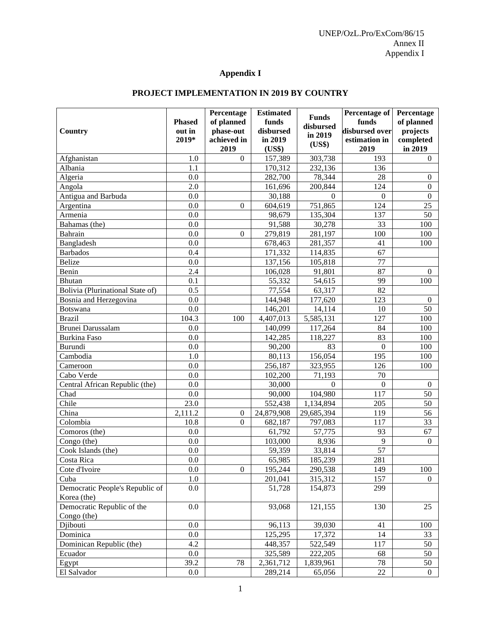# **Appendix I**

# **PROJECT IMPLEMENTATION IN 2019 BY COUNTRY**

| 157,389<br>303,738<br>193<br>Afghanistan<br>1.0<br>$\mathbf{0}$<br>$\Omega$<br>170,312<br>232,136<br>Albania<br>1.1<br>136<br>282,700<br>78,344<br>Algeria<br>0.0<br>28<br>$\overline{0}$<br>2.0<br>124<br>Angola<br>161,696<br>200,844<br>$\boldsymbol{0}$<br>0.0<br>30,188<br>Antigua and Barbuda<br>$\boldsymbol{0}$<br>$\Omega$<br>$\Omega$<br>751,865<br>604,619<br>124<br>25<br>0.0<br>Argentina<br>$\mathbf{0}$<br>Armenia<br>0.0<br>135,304<br>137<br>50<br>98,679<br>91,588<br>30,278<br>33<br>0.0<br>Bahamas (the)<br>100<br>0.0<br>279,819<br>281,197<br>100<br>Bahrain<br>100<br>$\mathbf{0}$<br>0.0<br>678,463<br>281,357<br>Bangladesh<br>41<br>100<br>0.4<br>171,332<br>67<br>114,835<br><b>Barbados</b><br>77<br>Belize<br>0.0<br>137,156<br>105,818<br>87<br>Benin<br>2.4<br>106,028<br>91,801<br>$\Omega$ | Country | <b>Phased</b><br>out in<br>2019* | Percentage<br>of planned<br>phase-out<br>achieved in<br>2019 | <b>Estimated</b><br>funds<br>disbursed<br>in 2019<br>(US\$) | <b>Funds</b><br>disbursed<br>in 2019<br>(US\$) | Percentage of<br>funds<br>disbursed over<br>estimation in<br>2019 | Percentage<br>of planned<br>projects<br>completed<br>in 2019 |
|-----------------------------------------------------------------------------------------------------------------------------------------------------------------------------------------------------------------------------------------------------------------------------------------------------------------------------------------------------------------------------------------------------------------------------------------------------------------------------------------------------------------------------------------------------------------------------------------------------------------------------------------------------------------------------------------------------------------------------------------------------------------------------------------------------------------------------|---------|----------------------------------|--------------------------------------------------------------|-------------------------------------------------------------|------------------------------------------------|-------------------------------------------------------------------|--------------------------------------------------------------|
|                                                                                                                                                                                                                                                                                                                                                                                                                                                                                                                                                                                                                                                                                                                                                                                                                             |         |                                  |                                                              |                                                             |                                                |                                                                   |                                                              |
|                                                                                                                                                                                                                                                                                                                                                                                                                                                                                                                                                                                                                                                                                                                                                                                                                             |         |                                  |                                                              |                                                             |                                                |                                                                   |                                                              |
|                                                                                                                                                                                                                                                                                                                                                                                                                                                                                                                                                                                                                                                                                                                                                                                                                             |         |                                  |                                                              |                                                             |                                                |                                                                   |                                                              |
|                                                                                                                                                                                                                                                                                                                                                                                                                                                                                                                                                                                                                                                                                                                                                                                                                             |         |                                  |                                                              |                                                             |                                                |                                                                   |                                                              |
|                                                                                                                                                                                                                                                                                                                                                                                                                                                                                                                                                                                                                                                                                                                                                                                                                             |         |                                  |                                                              |                                                             |                                                |                                                                   |                                                              |
|                                                                                                                                                                                                                                                                                                                                                                                                                                                                                                                                                                                                                                                                                                                                                                                                                             |         |                                  |                                                              |                                                             |                                                |                                                                   |                                                              |
|                                                                                                                                                                                                                                                                                                                                                                                                                                                                                                                                                                                                                                                                                                                                                                                                                             |         |                                  |                                                              |                                                             |                                                |                                                                   |                                                              |
|                                                                                                                                                                                                                                                                                                                                                                                                                                                                                                                                                                                                                                                                                                                                                                                                                             |         |                                  |                                                              |                                                             |                                                |                                                                   |                                                              |
|                                                                                                                                                                                                                                                                                                                                                                                                                                                                                                                                                                                                                                                                                                                                                                                                                             |         |                                  |                                                              |                                                             |                                                |                                                                   |                                                              |
|                                                                                                                                                                                                                                                                                                                                                                                                                                                                                                                                                                                                                                                                                                                                                                                                                             |         |                                  |                                                              |                                                             |                                                |                                                                   |                                                              |
|                                                                                                                                                                                                                                                                                                                                                                                                                                                                                                                                                                                                                                                                                                                                                                                                                             |         |                                  |                                                              |                                                             |                                                |                                                                   |                                                              |
|                                                                                                                                                                                                                                                                                                                                                                                                                                                                                                                                                                                                                                                                                                                                                                                                                             |         |                                  |                                                              |                                                             |                                                |                                                                   |                                                              |
|                                                                                                                                                                                                                                                                                                                                                                                                                                                                                                                                                                                                                                                                                                                                                                                                                             |         |                                  |                                                              |                                                             |                                                |                                                                   |                                                              |
| <b>Bhutan</b><br>100                                                                                                                                                                                                                                                                                                                                                                                                                                                                                                                                                                                                                                                                                                                                                                                                        |         | 0.1                              |                                                              | 55,332                                                      | 54,615                                         | 99                                                                |                                                              |
| 82<br>Bolivia (Plurinational State of)<br>0.5<br>77,554<br>63,317                                                                                                                                                                                                                                                                                                                                                                                                                                                                                                                                                                                                                                                                                                                                                           |         |                                  |                                                              |                                                             |                                                |                                                                   |                                                              |
| 123<br>0.0<br>144,948<br>177,620<br>Bosnia and Herzegovina<br>$\boldsymbol{0}$                                                                                                                                                                                                                                                                                                                                                                                                                                                                                                                                                                                                                                                                                                                                              |         |                                  |                                                              |                                                             |                                                |                                                                   |                                                              |
| 146,201<br>0.0<br>14,114<br>10<br>50<br>Botswana                                                                                                                                                                                                                                                                                                                                                                                                                                                                                                                                                                                                                                                                                                                                                                            |         |                                  |                                                              |                                                             |                                                |                                                                   |                                                              |
| 127<br>104.3<br>5,585,131<br><b>Brazil</b><br>4,407,013<br>100<br>100                                                                                                                                                                                                                                                                                                                                                                                                                                                                                                                                                                                                                                                                                                                                                       |         |                                  |                                                              |                                                             |                                                |                                                                   |                                                              |
| 117,264<br><b>Brunei Darussalam</b><br>0.0<br>140,099<br>84<br>100                                                                                                                                                                                                                                                                                                                                                                                                                                                                                                                                                                                                                                                                                                                                                          |         |                                  |                                                              |                                                             |                                                |                                                                   |                                                              |
| 142,285<br>83<br><b>Burkina Faso</b><br>0.0<br>118,227<br>100                                                                                                                                                                                                                                                                                                                                                                                                                                                                                                                                                                                                                                                                                                                                                               |         |                                  |                                                              |                                                             |                                                |                                                                   |                                                              |
| Burundi<br>90,200<br>0.0<br>83<br>$\boldsymbol{0}$<br>100                                                                                                                                                                                                                                                                                                                                                                                                                                                                                                                                                                                                                                                                                                                                                                   |         |                                  |                                                              |                                                             |                                                |                                                                   |                                                              |
| 156,054<br>1.0<br>80,113<br>195<br>Cambodia<br>100                                                                                                                                                                                                                                                                                                                                                                                                                                                                                                                                                                                                                                                                                                                                                                          |         |                                  |                                                              |                                                             |                                                |                                                                   |                                                              |
| 256,187<br>323,955<br>126<br>0.0<br>100<br>Cameroon                                                                                                                                                                                                                                                                                                                                                                                                                                                                                                                                                                                                                                                                                                                                                                         |         |                                  |                                                              |                                                             |                                                |                                                                   |                                                              |
| 0.0<br>102,200<br>70<br>71,193<br>Cabo Verde                                                                                                                                                                                                                                                                                                                                                                                                                                                                                                                                                                                                                                                                                                                                                                                |         |                                  |                                                              |                                                             |                                                |                                                                   |                                                              |
| Central African Republic (the)<br>0.0<br>30,000<br>$\boldsymbol{0}$<br>$\Omega$<br>$\mathbf{0}$                                                                                                                                                                                                                                                                                                                                                                                                                                                                                                                                                                                                                                                                                                                             |         |                                  |                                                              |                                                             |                                                |                                                                   |                                                              |
| 104,980<br>117<br>90,000<br>Chad<br>0.0<br>50                                                                                                                                                                                                                                                                                                                                                                                                                                                                                                                                                                                                                                                                                                                                                                               |         |                                  |                                                              |                                                             |                                                |                                                                   |                                                              |
| Chile<br>23.0<br>552,438<br>205<br>1,134,894<br>50                                                                                                                                                                                                                                                                                                                                                                                                                                                                                                                                                                                                                                                                                                                                                                          |         |                                  |                                                              |                                                             |                                                |                                                                   |                                                              |
| China<br>2,111.2<br>119<br>56<br>24,879,908<br>29,685,394<br>$\mathbf{0}$                                                                                                                                                                                                                                                                                                                                                                                                                                                                                                                                                                                                                                                                                                                                                   |         |                                  |                                                              |                                                             |                                                |                                                                   |                                                              |
| Colombia<br>117<br>33<br>10.8<br>682,187<br>797,083<br>$\Omega$                                                                                                                                                                                                                                                                                                                                                                                                                                                                                                                                                                                                                                                                                                                                                             |         |                                  |                                                              |                                                             |                                                |                                                                   |                                                              |
| 61,792<br>57,775<br>93<br>67<br>Comoros (the)<br>0.0                                                                                                                                                                                                                                                                                                                                                                                                                                                                                                                                                                                                                                                                                                                                                                        |         |                                  |                                                              |                                                             |                                                |                                                                   |                                                              |
| 8,936<br>9<br>0.0<br>103,000<br>$\mathbf{0}$<br>Congo (the)                                                                                                                                                                                                                                                                                                                                                                                                                                                                                                                                                                                                                                                                                                                                                                 |         |                                  |                                                              |                                                             |                                                |                                                                   |                                                              |
| 57<br>33,814<br>0.0<br>59,359<br>Cook Islands (the)                                                                                                                                                                                                                                                                                                                                                                                                                                                                                                                                                                                                                                                                                                                                                                         |         |                                  |                                                              |                                                             |                                                |                                                                   |                                                              |
| $\overline{0.0}$<br>281<br>65,985<br>185,239<br>Costa Rica                                                                                                                                                                                                                                                                                                                                                                                                                                                                                                                                                                                                                                                                                                                                                                  |         |                                  |                                                              |                                                             |                                                |                                                                   |                                                              |
| 0.0<br>$\boldsymbol{0}$<br>195,244<br>290,538<br>149<br>100<br>Cote d'Ivoire                                                                                                                                                                                                                                                                                                                                                                                                                                                                                                                                                                                                                                                                                                                                                |         |                                  |                                                              |                                                             |                                                |                                                                   |                                                              |
| $1.0\,$<br>315,312<br>157<br>201,041<br>Cuba<br>$\overline{0}$                                                                                                                                                                                                                                                                                                                                                                                                                                                                                                                                                                                                                                                                                                                                                              |         |                                  |                                                              |                                                             |                                                |                                                                   |                                                              |
| Democratic People's Republic of<br>51,728<br>299<br>0.0<br>154,873                                                                                                                                                                                                                                                                                                                                                                                                                                                                                                                                                                                                                                                                                                                                                          |         |                                  |                                                              |                                                             |                                                |                                                                   |                                                              |
| Korea (the)                                                                                                                                                                                                                                                                                                                                                                                                                                                                                                                                                                                                                                                                                                                                                                                                                 |         |                                  |                                                              |                                                             |                                                |                                                                   |                                                              |
| Democratic Republic of the<br>121,155<br>0.0<br>93,068<br>130<br>25<br>Congo (the)                                                                                                                                                                                                                                                                                                                                                                                                                                                                                                                                                                                                                                                                                                                                          |         |                                  |                                                              |                                                             |                                                |                                                                   |                                                              |
| 96,113<br>39,030<br>Djibouti<br>0.0<br>41<br>100                                                                                                                                                                                                                                                                                                                                                                                                                                                                                                                                                                                                                                                                                                                                                                            |         |                                  |                                                              |                                                             |                                                |                                                                   |                                                              |
| 17,372<br>125,295<br>Dominica<br>0.0<br>14<br>33                                                                                                                                                                                                                                                                                                                                                                                                                                                                                                                                                                                                                                                                                                                                                                            |         |                                  |                                                              |                                                             |                                                |                                                                   |                                                              |
| Dominican Republic (the)<br>4.2<br>522,549<br>448,357<br>117<br>50                                                                                                                                                                                                                                                                                                                                                                                                                                                                                                                                                                                                                                                                                                                                                          |         |                                  |                                                              |                                                             |                                                |                                                                   |                                                              |
| 222,205<br>325,589<br>68<br>0.0<br>50<br>Ecuador                                                                                                                                                                                                                                                                                                                                                                                                                                                                                                                                                                                                                                                                                                                                                                            |         |                                  |                                                              |                                                             |                                                |                                                                   |                                                              |
| 39.2<br>78<br>2,361,712<br>78<br>1,839,961<br>Egypt<br>50                                                                                                                                                                                                                                                                                                                                                                                                                                                                                                                                                                                                                                                                                                                                                                   |         |                                  |                                                              |                                                             |                                                |                                                                   |                                                              |
| $22\,$<br>289,214<br>65,056<br>El Salvador<br>$0.0\,$<br>$\boldsymbol{0}$                                                                                                                                                                                                                                                                                                                                                                                                                                                                                                                                                                                                                                                                                                                                                   |         |                                  |                                                              |                                                             |                                                |                                                                   |                                                              |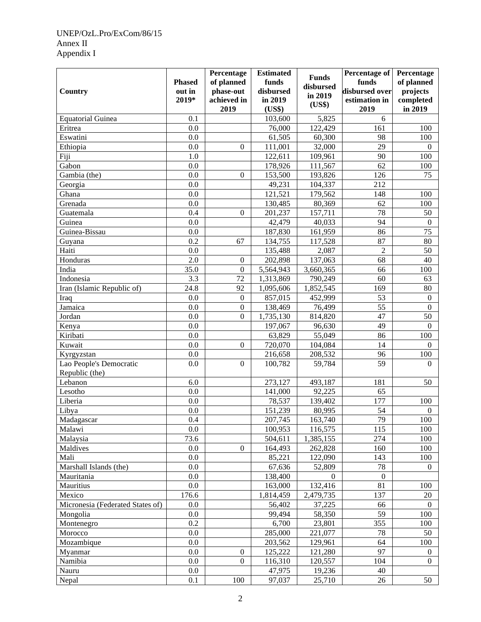# UNEP/OzL.Pro/ExCom/86/15 Annex II Appendix I

|                                       | <b>Phased</b> | Percentage<br>of planned | <b>Estimated</b><br>funds | <b>Funds</b><br>disbursed | Percentage of<br>funds | Percentage<br>of planned |
|---------------------------------------|---------------|--------------------------|---------------------------|---------------------------|------------------------|--------------------------|
| Country                               | out in        | phase-out                | disbursed                 | in 2019                   | disbursed over         | projects                 |
|                                       | 2019*         | achieved in<br>2019      | in 2019<br>(US\$)         | (US\$)                    | estimation in<br>2019  | completed<br>in 2019     |
| <b>Equatorial Guinea</b>              | 0.1           |                          | 103,600                   | 5,825                     | 6                      |                          |
| Eritrea                               | 0.0           |                          | 76,000                    | 122,429                   | 161                    | 100                      |
| Eswatini                              | 0.0           |                          | 61,505                    | 60,300                    | 98                     | 100                      |
| Ethiopia                              | 0.0           | $\overline{0}$           | 111,001                   | 32,000                    | 29                     | $\Omega$                 |
| Fiji                                  | 1.0           |                          | 122,611                   | 109,961                   | 90                     | 100                      |
| Gabon                                 | 0.0           |                          | 178,926                   | 111,567                   | 62                     | 100                      |
| Gambia (the)                          | 0.0           | $\boldsymbol{0}$         | 153,500                   | 193,826                   | 126                    | 75                       |
| Georgia                               | 0.0           |                          | 49,231                    | 104,337                   | 212                    |                          |
| Ghana                                 | 0.0           |                          | 121,521                   | 179,562                   | 148                    | 100                      |
| Grenada                               | 0.0           |                          | 130,485                   | 80,369                    | 62                     | 100                      |
| Guatemala                             | 0.4           | $\mathbf{0}$             | 201,237                   | 157,711                   | 78                     | 50                       |
| Guinea                                | 0.0           |                          | 42,479                    | 40,033                    | 94                     | $\boldsymbol{0}$         |
| Guinea-Bissau                         | 0.0           |                          | 187,830                   | 161,959                   | 86                     | 75                       |
| Guyana                                | 0.2           | 67                       | 134,755                   | 117,528                   | 87                     | 80                       |
| Haiti                                 | 0.0           |                          | 135,488                   | 2,087                     | $\overline{2}$         | 50                       |
| Honduras                              | 2.0           | $\boldsymbol{0}$         | 202,898                   | 137,063                   | 68                     | 40                       |
| India                                 | 35.0          | $\boldsymbol{0}$         | 5,564,943                 | 3,660,365                 | 66                     | 100                      |
| Indonesia                             | 3.3           | 72                       | 1,313,869                 | 790,249                   | 60                     | 63                       |
| Iran (Islamic Republic of)            | 24.8          | 92                       | 1,095,606                 | 1,852,545                 | 169                    | 80                       |
| Iraq                                  | 0.0           | $\boldsymbol{0}$         | 857,015                   | 452,999                   | 53                     | $\mathbf{0}$             |
| Jamaica                               | 0.0           | $\boldsymbol{0}$         | 138,469                   | 76,499                    | 55                     | $\theta$                 |
| Jordan                                | 0.0           | $\boldsymbol{0}$         | 1,735,130                 | 814,820                   | 47                     | 50                       |
| Kenya                                 | 0.0           |                          | 197,067                   | 96,630                    | 49                     | $\Omega$                 |
| Kiribati                              | 0.0           |                          | 63,829                    | 55,049                    | 86                     | 100                      |
| Kuwait                                | 0.0           | $\boldsymbol{0}$         | 720,070                   | 104,084                   | 14                     | $\Omega$                 |
|                                       | 0.0           |                          | 216,658                   | 208,532                   | 96                     | 100                      |
| Kyrgyzstan<br>Lao People's Democratic | 0.0           | $\mathbf{0}$             | 100,782                   | 59,784                    | 59                     | $\Omega$                 |
| Republic (the)                        |               |                          |                           |                           |                        |                          |
| Lebanon                               | 6.0           |                          | 273,127                   | 493,187                   | 181                    | 50                       |
| Lesotho                               | 0.0           |                          | 141,000                   | 92,225                    | 65                     |                          |
| Liberia                               | 0.0           |                          | 78,537                    | 139,402                   | 177                    | 100                      |
| Libya                                 | 0.0           |                          | 151,239                   | 80,995                    | 54                     | $\mathbf{0}$             |
| Madagascar                            | $0.4\,$       |                          | 207,745                   | 163,740                   | 79                     | 100                      |
| Malawi                                | $0.0\,$       |                          | 100,953                   | 116,575                   | 115                    | 100                      |
| Malaysia                              | 73.6          |                          | 504,611                   | 1,385,155                 | 274                    | 100                      |
| Maldives                              | $0.0\,$       | $\boldsymbol{0}$         | 164,493                   | 262,828                   | 160                    | 100                      |
| Mali                                  | 0.0           |                          | 85,221                    | 122,090                   | 143                    | 100                      |
| Marshall Islands (the)                | 0.0           |                          | 67,636                    | 52,809                    | 78                     | $\Omega$                 |
| Mauritania                            | 0.0           |                          | 138,400                   | $\overline{0}$            | $\boldsymbol{0}$       |                          |
| Mauritius                             | $0.0\,$       |                          | 163,000                   | 132,416                   | 81                     | 100                      |
| Mexico                                | 176.6         |                          | 1,814,459                 | 2,479,735                 | 137                    | 20                       |
| Micronesia (Federated States of)      | 0.0           |                          | 56,402                    | 37,225                    | 66                     | $\theta$                 |
| Mongolia                              | 0.0           |                          | 99,494                    | 58,350                    | 59                     | 100                      |
| Montenegro                            | 0.2           |                          | 6,700                     | 23,801                    | 355                    | 100                      |
| Morocco                               | 0.0           |                          | 285,000                   | 221,077                   | 78                     | 50                       |
| Mozambique                            | 0.0           |                          | 203,562                   | 129,961                   | 64                     | 100                      |
| Myanmar                               | 0.0           | $\boldsymbol{0}$         | 125,222                   | 121,280                   | 97                     | $\overline{0}$           |
| Namibia                               | 0.0           | $\boldsymbol{0}$         | 116,310                   | 120,557                   | 104                    | $\Omega$                 |
| Nauru                                 | $0.0\,$       |                          | 47,975                    | 19,236                    | 40                     |                          |
| Nepal                                 | 0.1           | 100                      | 97,037                    | 25,710                    | 26                     | 50                       |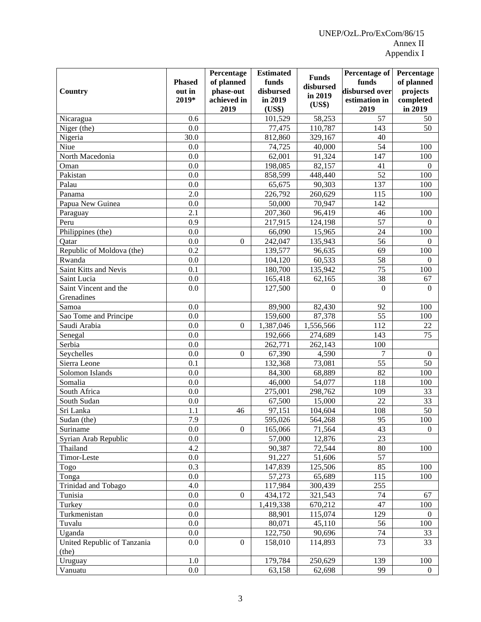|                                    |                 | Percentage          | <b>Estimated</b>     | <b>Funds</b> | Percentage of           | Percentage           |
|------------------------------------|-----------------|---------------------|----------------------|--------------|-------------------------|----------------------|
|                                    | <b>Phased</b>   | of planned          | funds                | disbursed    | funds<br>disbursed over | of planned           |
| Country                            | out in<br>2019* | $\bold{phase-out}$  | disbursed<br>in 2019 | in 2019      |                         | projects             |
|                                    |                 | achieved in<br>2019 | (US\$)               | (US\$)       | estimation in<br>2019   | completed<br>in 2019 |
| Nicaragua                          | 0.6             |                     | 101,529              | 58,253       | 57                      | 50                   |
| Niger (the)                        | 0.0             |                     | 77,475               | 110,787      | 143                     | 50                   |
| Nigeria                            | 30.0            |                     | 812,860              | 329,167      | 40                      |                      |
| Niue                               | 0.0             |                     | 74,725               | 40,000       | 54                      | 100                  |
| North Macedonia                    | 0.0             |                     | 62,001               | 91,324       | 147                     | 100                  |
| Oman                               | 0.0             |                     | 198,085              | 82,157       | 41                      | $\Omega$             |
| Pakistan                           | 0.0             |                     | 858,599              | 448,440      | 52                      | 100                  |
| Palau                              | 0.0             |                     | 65,675               | 90,303       | 137                     | 100                  |
| Panama                             | 2.0             |                     | 226,792              | 260,629      | 115                     | 100                  |
| Papua New Guinea                   | 0.0             |                     | 50,000               | 70,947       | 142                     |                      |
| Paraguay                           | 2.1             |                     | 207,360              | 96,419       | 46                      | 100                  |
| Peru                               | 0.9             |                     | 217,915              | 124,198      | 57                      | $\Omega$             |
| Philippines (the)                  | 0.0             |                     | 66,090               | 15,965       | 24                      | 100                  |
|                                    | 0.0             | $\boldsymbol{0}$    | 242,047              | 135,943      | 56                      | $\Omega$             |
| Qatar<br>Republic of Moldova (the) | 0.2             |                     | 139,577              | 96,635       | 69                      | 100                  |
|                                    |                 |                     |                      |              |                         |                      |
| Rwanda                             | 0.0             |                     | 104,120              | 60,533       | 58<br>75                | $\Omega$             |
| Saint Kitts and Nevis              | 0.1             |                     | 180,700              | 135,942      |                         | 100                  |
| Saint Lucia                        | 0.0             |                     | 165,418              | 62,165       | 38                      | 67                   |
| Saint Vincent and the              | 0.0             |                     | 127,500              | $\Omega$     | $\Omega$                | $\Omega$             |
| Grenadines                         |                 |                     |                      |              |                         |                      |
| Samoa                              | 0.0             |                     | 89,900               | 82,430       | 92                      | 100                  |
| Sao Tome and Principe              | 0.0             |                     | 159,600              | 87,378       | 55                      | 100                  |
| Saudi Arabia                       | 0.0             | $\mathbf{0}$        | 1,387,046            | 1,556,566    | 112                     | 22                   |
| Senegal                            | 0.0             |                     | 192,666              | 274,689      | 143                     | 75                   |
| Serbia                             | 0.0             |                     | 262,771              | 262,143      | 100                     |                      |
| Seychelles                         | 0.0             | $\mathbf{0}$        | 67,390               | 4,590        | $\overline{7}$          | $\boldsymbol{0}$     |
| Sierra Leone                       | 0.1             |                     | 132,368              | 73,081       | 55                      | 50                   |
| Solomon Islands                    | 0.0             |                     | 84,300               | 68,889       | 82                      | 100                  |
| Somalia                            | 0.0             |                     | 46,000               | 54,077       | 118                     | 100                  |
| South Africa                       | 0.0             |                     | 275,001              | 298,762      | 109                     | 33                   |
| South Sudan                        | 0.0             |                     | 67,500               | 15,000       | 22                      | 33                   |
| Sri Lanka                          | 1.1             | 46                  | 97,151               | 104,604      | 108                     | 50                   |
| Sudan (the)                        | 7.9             |                     | 595,026              | 564,268      | 95                      | 100                  |
| Suriname                           | $0.0\,$         | $\mathbf{0}$        | 165,066              | 71,564       | 43                      | $\Omega$             |
| Syrian Arab Republic               | $0.0\,$         |                     | 57,000               | 12,876       | 23                      |                      |
| Thailand                           | 4.2             |                     | 90,387               | 72,544       | 80                      | 100                  |
| Timor-Leste                        | $0.0\,$         |                     | 91,227               | 51,606       | 57                      |                      |
| Togo                               | 0.3             |                     | 147,839              | 125,506      | 85                      | 100                  |
| Tonga                              | $0.0\,$         |                     | 57,273               | 65,689       | 115                     | 100                  |
| Trinidad and Tobago                | 4.0             |                     | 117,984              | 300,439      | 255                     |                      |
| Tunisia                            | $0.0\,$         | $\boldsymbol{0}$    | 434,172              | 321,543      | 74                      | 67                   |
| Turkey                             | $0.0\,$         |                     | 1,419,338            | 670,212      | 47                      | 100                  |
| Turkmenistan                       | $0.0\,$         |                     | 88,901               | 115,074      | 129                     | $\overline{0}$       |
| Tuvalu                             | $0.0\,$         |                     | 80,071               | 45,110       | 56                      | 100                  |
| Uganda                             | $0.0\,$         |                     | 122,750              | 90,696       | 74                      | 33                   |
| United Republic of Tanzania        | $0.0\,$         | $\boldsymbol{0}$    | 158,010              | 114,893      | 73                      | 33                   |
| (the)                              |                 |                     |                      |              |                         |                      |
| Uruguay                            | 1.0             |                     | 179,784              | 250,629      | 139                     | 100                  |
| Vanuatu                            | $0.0\,$         |                     | 63,158               | 62,698       | 99                      | $\boldsymbol{0}$     |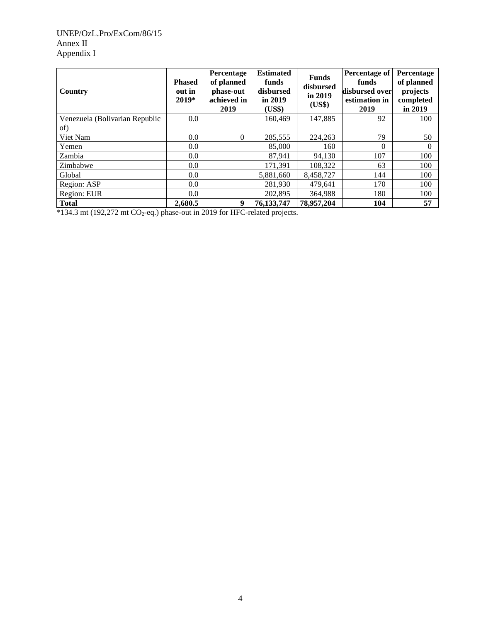# UNEP/OzL.Pro/ExCom/86/15 Annex II Appendix I

| Country                        | <b>Phased</b><br>out in<br>$2019*$ | Percentage<br>of planned<br>phase-out<br>achieved in<br>2019 | <b>Estimated</b><br>funds<br>disbursed<br>in 2019<br>(US\$) | <b>Funds</b><br>disbursed<br>in 2019<br>(US\$) | <b>Percentage of</b><br>funds<br>disbursed over<br>estimation in<br>2019 | Percentage<br>of planned<br>projects<br>completed<br>in 2019 |
|--------------------------------|------------------------------------|--------------------------------------------------------------|-------------------------------------------------------------|------------------------------------------------|--------------------------------------------------------------------------|--------------------------------------------------------------|
| Venezuela (Bolivarian Republic | 0.0                                |                                                              | 160.469                                                     | 147,885                                        | 92                                                                       | 100                                                          |
| of)                            |                                    |                                                              |                                                             |                                                |                                                                          |                                                              |
| Viet Nam                       | 0.0                                | $\Omega$                                                     | 285,555                                                     | 224,263                                        | 79                                                                       | 50                                                           |
| Yemen                          | 0.0                                |                                                              | 85,000                                                      | 160                                            | $\Omega$                                                                 | $\Omega$                                                     |
| Zambia                         | 0.0                                |                                                              | 87,941                                                      | 94,130                                         | 107                                                                      | 100                                                          |
| Zimbabwe                       | 0.0                                |                                                              | 171,391                                                     | 108,322                                        | 63                                                                       | 100                                                          |
| Global                         | 0.0                                |                                                              | 5,881,660                                                   | 8,458,727                                      | 144                                                                      | 100                                                          |
| Region: ASP                    | 0.0                                |                                                              | 281.930                                                     | 479.641                                        | 170                                                                      | 100                                                          |
| Region: EUR                    | 0.0                                |                                                              | 202,895                                                     | 364,988                                        | 180                                                                      | 100                                                          |
| <b>Total</b>                   | 2.680.5                            | 9                                                            | 76,133,747                                                  | 78,957,204                                     | 104                                                                      | 57                                                           |

\*134.3 mt (192,272 mt CO2-eq.) phase-out in 2019 for HFC-related projects.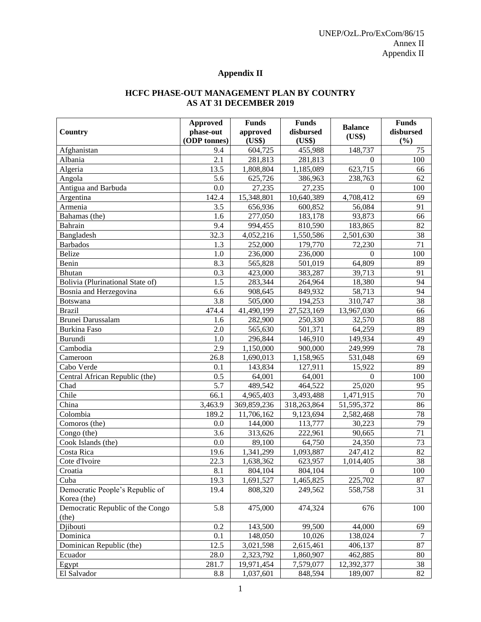# **Appendix II**

# **HCFC PHASE-OUT MANAGEMENT PLAN BY COUNTRY AS AT 31 DECEMBER 2019**

|                                  | <b>Funds</b><br><b>Approved</b> |                         | <b>Funds</b>          | <b>Balance</b>   | <b>Funds</b> |
|----------------------------------|---------------------------------|-------------------------|-----------------------|------------------|--------------|
| <b>Country</b>                   | phase-out                       | approved                | disbursed             | (US\$)           | disbursed    |
|                                  | (ODP tonnes)                    | (US\$)                  | (US\$)                |                  | (%)          |
| Afghanistan                      | 9.4                             | 604,725                 | 455,988               | 148,737          | 75           |
| Albania                          | 2.1                             | 281,813                 | 281,813               | $\Omega$         | 100          |
| Algeria                          | 13.5                            | 1,808,804               | 1,185,089             | 623,715          | 66           |
| Angola                           | 5.6                             | 625,726                 | 386,963               | 238,763          | 62           |
| Antigua and Barbuda              | 0.0                             | 27,235                  | 27,235                | $\Omega$         | 100          |
| Argentina                        | 142.4                           | 15,348,801              | 10,640,389            | 4,708,412        | 69           |
| Armenia                          | 3.5                             | 656,936                 | 600,852               | 56,084           | 91           |
| Bahamas (the)                    | 1.6                             | 277,050                 | 183,178               | 93,873           | 66           |
| Bahrain                          | 9.4                             | 994,455                 | 810,590               | 183,865          | 82           |
| Bangladesh                       | 32.3                            | 4,052,216               | 1,550,586             | 2,501,630        | 38           |
| <b>Barbados</b>                  | 1.3                             | 252,000                 | 179,770               | 72,230           | 71           |
| <b>Belize</b>                    | 1.0                             | 236,000                 | 236,000               | $\Omega$         | 100          |
| Benin                            | 8.3                             | 565,828                 | 501,019               | 64,809           | 89           |
| Bhutan                           | 0.3                             | 423,000                 | 383,287               | 39,713           | 91           |
| Bolivia (Plurinational State of) | 1.5                             | 283,344                 | 264,964               | 18,380           | 94           |
| Bosnia and Herzegovina           | 6.6                             | 908,645                 | 849,932               | 58,713           | 94           |
| Botswana                         | 3.8                             | 505,000                 | 194,253               | 310,747          | 38           |
| <b>Brazil</b>                    | 474.4                           | $\overline{41,}490,199$ | 27,523,169            | 13,967,030       | 66           |
| Brunei Darussalam                | 1.6                             | 282,900                 | 250,330               | 32,570           | 88           |
| <b>Burkina Faso</b>              | 2.0                             | 565,630                 | 501,371               | 64,259           | 89           |
| Burundi                          | 1.0                             | 296,844                 | $\overline{1}$ 46,910 | 149,934          | 49           |
| Cambodia                         | 2.9                             | 1,150,000               | 900,000               | 249,999          | 78           |
| Cameroon                         | 26.8                            | 1,690,013               | 1,158,965             | 531,048          | 69           |
| Cabo Verde                       | 0.1                             | 143,834                 | 127,911               | 15,922           | 89           |
| Central African Republic (the)   | 0.5                             | 64,001                  | 64,001                | $\Omega$         | 100          |
| Chad                             | 5.7                             | 489,542                 | 464,522               | 25,020           | 95           |
| Chile                            | 66.1                            | 4,965,403               | 3,493,488             | 1,471,915        | 70           |
| China                            | 3,463.9                         | 369,859,236             | 318,263,864           | 51,595,372       | 86           |
| Colombia                         | 189.2                           | 11,706,162              | 9,123,694             | 2,582,468        | 78           |
| Comoros (the)                    | 0.0                             | 144,000                 | 113,777               | 30,223           | 79           |
| Congo (the)                      | 3.6                             | 313,626                 | 222,961               | 90,665           | 71           |
| Cook Islands (the)               | 0.0                             | 89,100                  | 64,750                | 24,350           | 73           |
| Costa Rica                       | 19.6                            | 1,341,299               | 1,093,887             | 247,412          | 82           |
| Cote d'Ivoire                    | 22.3                            | 1,638,362               | 623,957               | 1,014,405        | 38           |
| Croatia                          | 8.1                             | 804,104                 | 804,104               | $\boldsymbol{0}$ | $100\,$      |
| Cuba                             | 19.3                            | 1,691,527               | 1,465,825             | 225,702          | 87           |
| Democratic People's Republic of  | 19.4                            | 808,320                 | 249,562               | 558,758          | 31           |
| Korea (the)                      |                                 |                         |                       |                  |              |
| Democratic Republic of the Congo | 5.8                             | 475,000                 | 474,324               | 676              | 100          |
| (the)                            |                                 |                         |                       |                  |              |
| Djibouti                         | 0.2                             | 143,500                 | 99,500                | 44,000           | 69           |
| Dominica                         | 0.1                             | 148,050                 | 10,026                | 138,024          | $\tau$       |
| Dominican Republic (the)         | 12.5                            | 3,021,598               | 2,615,461             | 406,137          | 87           |
| Ecuador                          | 28.0                            | 2,323,792               | 1,860,907             | 462,885          | 80           |
| Egypt                            | 281.7                           | 19,971,454              | 7,579,077             | 12,392,377       | 38           |
| El Salvador                      | 8.8                             | 1,037,601               | 848,594               | 189,007          | 82           |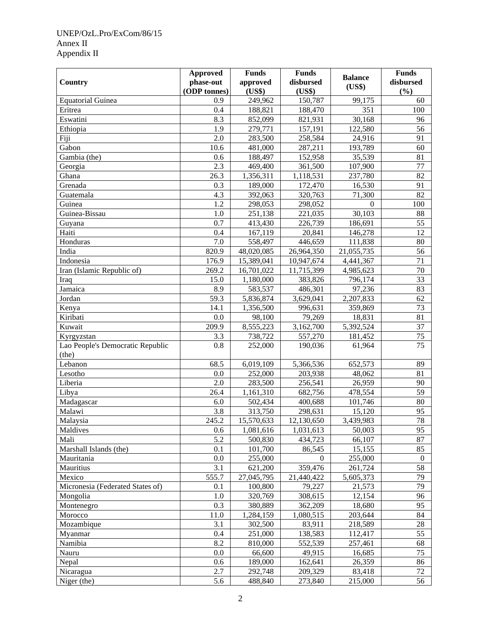# UNEP/OzL.Pro/ExCom/86/15 Annex II Appendix II

|                                  | <b>Funds</b><br><b>Approved</b> |                      | <b>Funds</b> | <b>Balance</b> | <b>Funds</b>   |
|----------------------------------|---------------------------------|----------------------|--------------|----------------|----------------|
| Country                          | phase-out                       | approved             | disbursed    | (US\$)         | disbursed      |
|                                  | (ODP tonnes)                    | (US\$)               | (US\$)       |                | (%)            |
| <b>Equatorial Guinea</b>         | 0.9                             | 249,962              | 150,787      | 99,175         | 60             |
| Eritrea                          | 0.4                             | 188,821              | 188,470      | 351            | 100            |
| Eswatini                         | 8.3                             | 852,099              | 821,931      | 30,168         | 96             |
| Ethiopia                         | 1.9                             | 279,771              | 157,191      | 122,580        | 56             |
| Fiji                             | 2.0                             | 283,500              | 258,584      | 24,916         | 91             |
| Gabon                            | 10.6                            | 481,000              | 287,211      | 193,789        | 60             |
| Gambia (the)                     | 0.6                             | 188,497              | 152,958      | 35,539         | 81             |
| Georgia                          | $\overline{2.3}$                | 469,400              | 361,500      | 107,900        | 77             |
| Ghana                            | 26.3                            | 1,356,311            | 1,118,531    | 237,780        | 82             |
| Grenada                          | 0.3                             | 189,000              | 172,470      | 16,530         | 91             |
| Guatemala                        | 4.3                             | 392,063              | 320,763      | 71,300         | 82             |
| Guinea                           | 1.2                             | 298,053              | 298,052      | $\Omega$       | 100            |
| Guinea-Bissau                    | 1.0                             | 251,138              | 221,035      | 30,103         | 88             |
| Guyana                           | 0.7                             | 413,430              | 226,739      | 186,691        | 55             |
| Haiti                            | 0.4                             | 167,119              | 20,841       | 146,278        | 12             |
| Honduras                         | 7.0                             | 558,497              | 446,659      | 111,838        | 80             |
| India                            | 820.9                           | 48,020,085           | 26,964,350   | 21,055,735     | 56             |
| Indonesia                        | 176.9                           | 15,389,041           | 10,947,674   | 4,441,367      | 71             |
| Iran (Islamic Republic of)       | 269.2                           | 16,701,022           | 11,715,399   | 4,985,623      | 70             |
| Iraq                             | 15.0                            | 1,180,000            | 383,826      | 796,174        | 33             |
| Jamaica                          | 8.9                             | 583,537              | 486,301      | 97,236         | 83             |
| Jordan                           | 59.3                            | 5,836,874            | 3,629,041    | 2,207,833      | 62             |
| Kenya                            | 14.1                            | 1,356,500            | 996,631      | 359,869        | 73             |
| Kiribati                         | 0.0                             | 98,100               | 79,269       | 18,831         | 81             |
| Kuwait                           | 209.9                           | 8,555,223            | 3,162,700    | 5,392,524      | 37             |
| Kyrgyzstan                       | 3.3                             | 738,722              | 557,270      | 181,452        | 75             |
| Lao People's Democratic Republic | 0.8                             | 252,000              | 190,036      | 61,964         | 75             |
| (the)                            |                                 |                      |              |                |                |
| Lebanon                          | 68.5                            | 6,019,109            | 5,366,536    | 652,573        | 89             |
| Lesotho                          | 0.0                             | $\overline{252,000}$ | 203,938      | 48,062         | 81             |
| Liberia                          | 2.0                             | 283,500              | 256,541      | 26,959         | 90             |
| Libya                            | 26.4                            | 1,161,310            | 682,756      | 478,554        | 59             |
| Madagascar                       | 6.0                             | 502,434              | 400,688      | 101,746        | 80             |
| Malawi                           | 3.8                             | 313,750              | 298,631      | 15,120         | 95             |
| Malaysia                         | 245.2                           | 15,570,633           | 12,130,650   | 3,439,983      | 78             |
| Maldives                         | 0.6                             | 1,081,616            | 1,031,613    | 50,003         | 95             |
| Mali                             | 5.2                             | 500,830              | 434,723      | 66,107         | 87             |
| Marshall Islands (the)           | 0.1                             | 101,700              | 86,545       | 15,155         | 85             |
| Mauritania                       | 0.0                             | 255,000              | $\Omega$     | 255,000        | $\overline{0}$ |
| Mauritius                        | 3.1                             | 621,200              | 359,476      | 261,724        | 58             |
| Mexico                           | 555.7                           | 27,045,795           | 21,440,422   | 5,605,373      | 79             |
| Micronesia (Federated States of) | 0.1                             | 100,800              | 79,227       | 21,573         | 79             |
| Mongolia                         | 1.0                             | 320,769              | 308,615      | 12,154         | 96             |
| Montenegro                       | 0.3                             | 380,889              | 362,209      | 18,680         | 95             |
| Morocco                          | 11.0                            | 1,284,159            | 1,080,515    | 203,644        | 84             |
| Mozambique                       | 3.1                             | 302,500              | 83,911       | 218,589        | 28             |
| Myanmar                          | 0.4                             | 251,000              | 138,583      | 112,417        | 55             |
| Namibia                          | 8.2                             | 810,000              | 552,539      | 257,461        | 68             |
| Nauru                            | 0.0                             | 66,600               | 49,915       | 16,685         | 75             |
| Nepal                            | 0.6                             | 189,000              | 162,641      | 26,359         | 86             |
| Nicaragua                        | 2.7                             | 292,748              | 209,329      | 83,418         | 72             |
| Niger (the)                      | 5.6                             | 488,840              | 273,840      | 215,000        | 56             |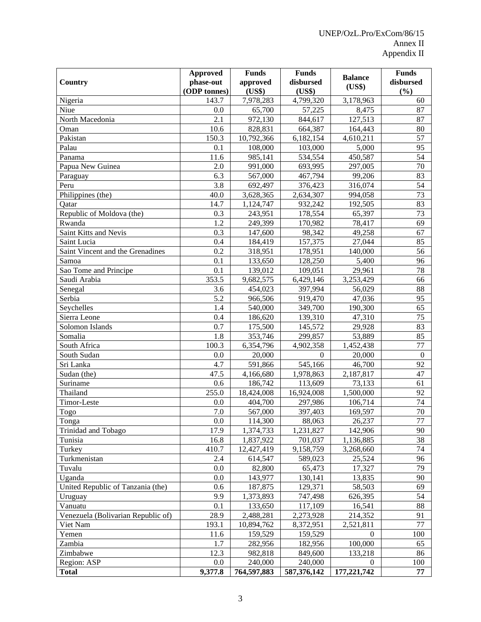|                                    | <b>Approved</b> | <b>Funds</b>           | <b>Funds</b>           | <b>Balance</b>          | <b>Funds</b>     |
|------------------------------------|-----------------|------------------------|------------------------|-------------------------|------------------|
| Country                            | phase-out       | approved               | disbursed              | (US\$)                  | disbursed        |
|                                    | (ODP tonnes)    | (US\$)                 | (US\$)                 |                         | (%)              |
| Nigeria                            | 143.7           | 7,978,283              | 4,799,320              | 3,178,963               | 60               |
| Niue                               | 0.0             | 65,700                 | 57,225                 | 8,475                   | 87               |
| North Macedonia                    | 2.1             | 972,130                | 844,617                | 127,513                 | 87               |
| Oman                               | 10.6            | 828,831                | 664,387                | 164,443                 | 80               |
| Pakistan                           | 150.3           | 10,792,366             | 6,182,154              | 4,610,211               | 57               |
| Palau                              | 0.1             | 108,000                | 103,000                | 5,000                   | 95               |
| Panama                             | 11.6            | 985,141                | 534,554                | 450,587                 | 54               |
| Papua New Guinea                   | 2.0             | 991,000                | 693,995                | 297,005                 | 70               |
| Paraguay                           | 6.3             | 567,000                | 467,794                | 99,206                  | 83               |
| Peru                               | 3.8             | 692,497                | 376,423                | 316,074                 | 54               |
| Philippines (the)                  | 40.0            | 3,628,365              | 2,634,307              | 994,058                 | 73               |
| Qatar                              | 14.7            | 1,124,747              | 932,242                | 192,505                 | 83               |
| Republic of Moldova (the)          | 0.3             | 243,951                | 178,554                | 65,397                  | 73               |
| Rwanda                             | 1.2             | 249,399                | 170,982                | 78,417                  | 69               |
| Saint Kitts and Nevis              | 0.3             | 147,600                | 98,342                 | 49,258                  | 67               |
| Saint Lucia                        | 0.4             | 184,419                | 157,375                | 27,044                  | 85               |
| Saint Vincent and the Grenadines   | 0.2             | 318,951                | 178,951                | 140,000                 | 56               |
| Samoa                              | 0.1             | 133,650                | 128,250                | 5,400                   | 96               |
| Sao Tome and Principe              | 0.1             | 139,012                | 109,051                | 29,961                  | 78               |
| Saudi Arabia                       | 353.5           | 9,682,575              | 6,429,146              | 3,253,429               | 66               |
| Senegal                            | 3.6             | 454,023                | 397,994                | 56,029                  | 88               |
| Serbia                             | 5.2             | 966,506                | 919,470                | 47,036                  | 95               |
| Seychelles                         | 1.4             | 540,000                | 349,700                | 190,300                 | 65               |
| Sierra Leone                       | 0.4             | 186,620                | 139,310                | 47,310                  | 75               |
| Solomon Islands                    | 0.7             | 175,500                | 145,572                | 29,928                  | 83               |
| Somalia                            | 1.8             | 353,746                | 299,857                | 53,889                  | 85               |
| South Africa                       | 100.3           | 6,354,796              | 4,902,358              | 1,452,438               | 77               |
| South Sudan                        | 0.0             | 20,000                 | $\Omega$               | 20,000                  | $\boldsymbol{0}$ |
| Sri Lanka                          | 4.7             | 591,866                | 545,166                | 46,700                  | 92               |
| Sudan (the)                        | 47.5            | 4,166,680              | 1,978,863              | 2,187,817               | 47               |
| Suriname                           | 0.6             | 186,742                | 113,609                | 73,133                  | 61               |
| Thailand                           | 255.0           | 18,424,008             | 16,924,008             | 1,500,000               | 92               |
| Timor-Leste                        | 0.0             | 404,700                | 297,986                | 106,714                 | 74               |
| Togo                               | 7.0             | 567,000                | 397,403                | 169,597                 | 70               |
| Tonga                              | $0.0\,$         | 114,300                | 88,063                 | 26,237                  | 77               |
| Trinidad and Tobago                | 17.9            | 1,374,733              | 1,231,827              | 142,906                 | 90               |
| Tunisia                            | 16.8            | 1,837,922              | 701,037                | 1,136,885               | 38               |
| Turkey                             | 410.7           | 12,427,419             | 9,158,759              | 3,268,660               | 74               |
| Turkmenistan                       | 2.4             | 614,547                | 589,023                | 25,524                  | 96               |
| Tuvalu                             | $0.0\,$         | 82,800                 | 65,473                 | 17,327                  | 79               |
| Uganda                             | 0.0             | 143,977                | 130,141                | 13,835                  | 90               |
| United Republic of Tanzania (the)  | 0.6<br>9.9      | 187,875                | 129,371                | 58,503                  | 69               |
| Uruguay                            |                 | 1,373,893              | 747,498                | 626,395                 | 54               |
| Vanuatu                            | 0.1             | 133,650                | 117,109                | 16,541                  | 88               |
| Venezuela (Bolivarian Republic of) | 28.9            | 2,488,281              | 2,273,928              | 214,352                 | 91               |
| Viet Nam                           | 193.1           | 10,894,762             | 8,372,951              | 2,521,811               | 77               |
| Yemen                              | 11.6            | 159,529                | 159,529                | $\theta$                | 100              |
| Zambia                             | 1.7             | 282,956                | 182,956                | 100,000                 | 65               |
| Zimbabwe                           | 12.3            | 982,818                | 849,600                | 133,218                 | 86               |
| Region: ASP<br><b>Total</b>        | 0.0<br>9,377.8  | 240,000<br>764,597,883 | 240,000<br>587,376,142 | $\Omega$<br>177,221,742 | 100<br>77        |
|                                    |                 |                        |                        |                         |                  |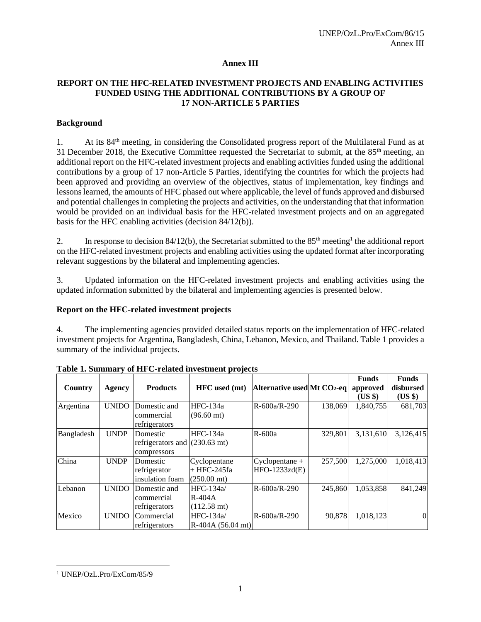# **Annex III**

# **REPORT ON THE HFC-RELATED INVESTMENT PROJECTS AND ENABLING ACTIVITIES FUNDED USING THE ADDITIONAL CONTRIBUTIONS BY A GROUP OF 17 NON-ARTICLE 5 PARTIES**

# **Background**

1. At its 84<sup>th</sup> meeting, in considering the Consolidated progress report of the Multilateral Fund as at 31 December 2018, the Executive Committee requested the Secretariat to submit, at the 85th meeting, an additional report on the HFC-related investment projects and enabling activities funded using the additional contributions by a group of 17 non-Article 5 Parties, identifying the countries for which the projects had been approved and providing an overview of the objectives, status of implementation, key findings and lessons learned, the amounts of HFC phased out where applicable, the level of funds approved and disbursed and potential challenges in completing the projects and activities, on the understanding that that information would be provided on an individual basis for the HFC-related investment projects and on an aggregated basis for the HFC enabling activities (decision 84/12(b)).

2. In response to decision  $84/12(b)$ , the Secretariat submitted to the  $85<sup>th</sup>$  meeting<sup>1</sup> the additional report on the HFC-related investment projects and enabling activities using the updated format after incorporating relevant suggestions by the bilateral and implementing agencies.

3. Updated information on the HFC-related investment projects and enabling activities using the updated information submitted by the bilateral and implementing agencies is presented below.

# **Report on the HFC-related investment projects**

4. The implementing agencies provided detailed status reports on the implementation of HFC-related investment projects for Argentina, Bangladesh, China, Lebanon, Mexico, and Thailand. Table 1 provides a summary of the individual projects.

| Country    | Agency       | <b>Products</b>                              | HFC used (mt)                                         | Alternative used Mt CO2-eq        |         | <b>Funds</b><br>approved<br>(US \$) | <b>Funds</b><br>disbursed<br>$(US \$ |
|------------|--------------|----------------------------------------------|-------------------------------------------------------|-----------------------------------|---------|-------------------------------------|--------------------------------------|
| Argentina  | <b>UNIDO</b> | Domestic and<br>commercial<br>refrigerators  | HFC-134a<br>$(96.60 \text{ mt})$                      | R-600a/R-290                      | 138,069 | 1,840,755                           | 681,703                              |
| Bangladesh | <b>UNDP</b>  | Domestic<br>refrigerators and<br>compressors | HFC-134a<br>$(230.63 \text{ mt})$                     | $R-600a$                          | 329.801 | 3,131,610                           | 3,126,415                            |
| China      | <b>UNDP</b>  | Domestic<br>refrigerator<br>insulation foam  | Cyclopentane<br> + HFC-245fa<br>$(250.00 \text{ mt})$ | $Cyclopentane +$<br>HFO-1233zd(E) | 257,500 | 1,275,000                           | 1,018,413                            |
| Lebanon    | <b>UNIDO</b> | Domestic and<br>commercial<br>refrigerators  | $HFC-134a/$<br>$R-404A$<br>$(112.58 \text{ mt})$      | R-600a/R-290                      | 245,860 | 1,053,858                           | 841,249                              |
| Mexico     | <b>UNIDO</b> | Commercial<br>refrigerators                  | $HFC-134a/$<br>$R-404A(56.04 mt)$                     | R-600a/R-290                      | 90,878  | 1,018,123                           | $\Omega$                             |

**Table 1. Summary of HFC-related investment projects**

<sup>1</sup> UNEP/OzL.Pro/ExCom/85/9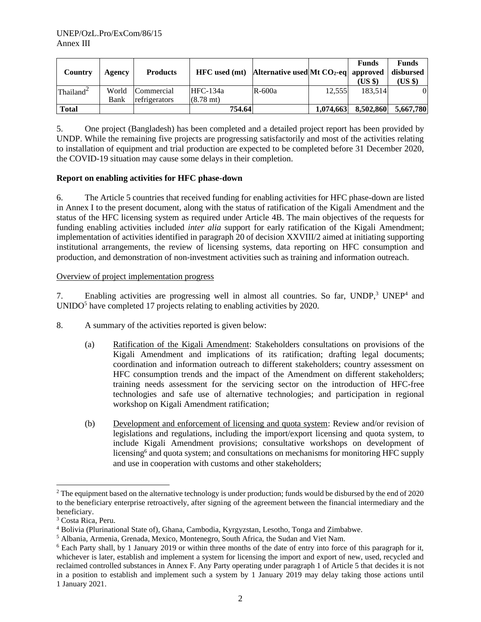| <b>Country</b>      | Agency | <b>Products</b>  | $HFC$ used (mt) Alternative used Mt $CO2$ -eq approved |        |           | <b>Funds</b><br>(USS) | <b>Funds</b><br>disbursed<br>(US \$) |
|---------------------|--------|------------------|--------------------------------------------------------|--------|-----------|-----------------------|--------------------------------------|
| $\text{Thailand}^2$ |        | World Commercial | $HFC-134a$                                             | R-600a | 12.555    | 183.514               | 01                                   |
|                     | Bank   | refrigerators    | $(8.78 \text{ mt})$                                    |        |           |                       |                                      |
| <b>Total</b>        |        |                  | 754.64                                                 |        | 1.074.663 | 8.502.860             | 5,667,780                            |

5. One project (Bangladesh) has been completed and a detailed project report has been provided by UNDP. While the remaining five projects are progressing satisfactorily and most of the activities relating to installation of equipment and trial production are expected to be completed before 31 December 2020, the COVID-19 situation may cause some delays in their completion.

#### **Report on enabling activities for HFC phase-down**

6. The Article 5 countries that received funding for enabling activities for HFC phase-down are listed in Annex I to the present document, along with the status of ratification of the Kigali Amendment and the status of the HFC licensing system as required under Article 4B. The main objectives of the requests for funding enabling activities included *inter alia* support for early ratification of the Kigali Amendment; implementation of activities identified in paragraph 20 of decision XXVIII/2 aimed at initiating supporting institutional arrangements, the review of licensing systems, data reporting on HFC consumption and production, and demonstration of non-investment activities such as training and information outreach.

#### Overview of project implementation progress

7. Enabling activities are progressing well in almost all countries. So far, UNDP,<sup>3</sup> UNEP<sup>4</sup> and UNIDO<sup>5</sup> have completed 17 projects relating to enabling activities by 2020.

- 8. A summary of the activities reported is given below:
	- (a) Ratification of the Kigali Amendment: Stakeholders consultations on provisions of the Kigali Amendment and implications of its ratification; drafting legal documents; coordination and information outreach to different stakeholders; country assessment on HFC consumption trends and the impact of the Amendment on different stakeholders; training needs assessment for the servicing sector on the introduction of HFC-free technologies and safe use of alternative technologies; and participation in regional workshop on Kigali Amendment ratification;
	- (b) Development and enforcement of licensing and quota system: Review and/or revision of legislations and regulations, including the import/export licensing and quota system, to include Kigali Amendment provisions; consultative workshops on development of licensing<sup>6</sup> and quota system; and consultations on mechanisms for monitoring HFC supply and use in cooperation with customs and other stakeholders;

<sup>&</sup>lt;sup>2</sup> The equipment based on the alternative technology is under production; funds would be disbursed by the end of 2020 to the beneficiary enterprise retroactively, after signing of the agreement between the financial intermediary and the beneficiary.

<sup>3</sup> Costa Rica, Peru.

<sup>4</sup> Bolivia (Plurinational State of), Ghana, Cambodia, Kyrgyzstan, Lesotho, Tonga and Zimbabwe.

<sup>5</sup> Albania, Armenia, Grenada, Mexico, Montenegro, South Africa, the Sudan and Viet Nam.

<sup>6</sup> Each Party shall, by 1 January 2019 or within three months of the date of entry into force of this paragraph for it, whichever is later, establish and implement a system for licensing the import and export of new, used, recycled and reclaimed controlled substances in Annex F. Any Party operating under paragraph 1 of Article 5 that decides it is not in a position to establish and implement such a system by 1 January 2019 may delay taking those actions until 1 January 2021.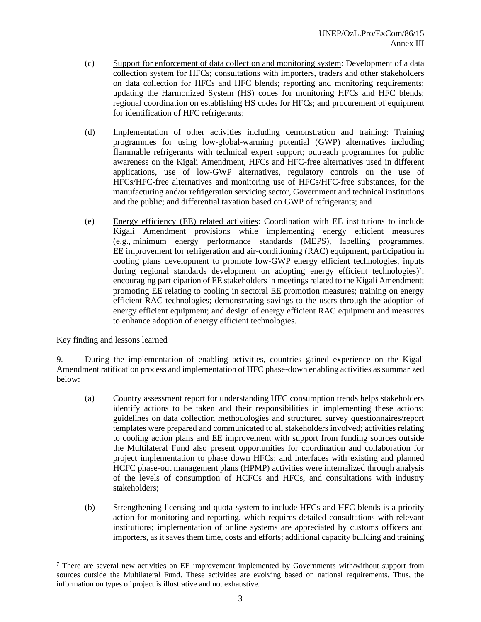- (c) Support for enforcement of data collection and monitoring system: Development of a data collection system for HFCs; consultations with importers, traders and other stakeholders on data collection for HFCs and HFC blends; reporting and monitoring requirements; updating the Harmonized System (HS) codes for monitoring HFCs and HFC blends; regional coordination on establishing HS codes for HFCs; and procurement of equipment for identification of HFC refrigerants;
- (d) Implementation of other activities including demonstration and training: Training programmes for using low-global-warming potential (GWP) alternatives including flammable refrigerants with technical expert support; outreach programmes for public awareness on the Kigali Amendment, HFCs and HFC-free alternatives used in different applications, use of low-GWP alternatives, regulatory controls on the use of HFCs/HFC-free alternatives and monitoring use of HFCs/HFC-free substances, for the manufacturing and/or refrigeration servicing sector, Government and technical institutions and the public; and differential taxation based on GWP of refrigerants; and
- (e) Energy efficiency (EE) related activities: Coordination with EE institutions to include Kigali Amendment provisions while implementing energy efficient measures (e.g., minimum energy performance standards (MEPS), labelling programmes, EE improvement for refrigeration and air-conditioning (RAC) equipment, participation in cooling plans development to promote low-GWP energy efficient technologies, inputs during regional standards development on adopting energy efficient technologies)<sup>7</sup>; encouraging participation of EE stakeholders in meetings related to the Kigali Amendment; promoting EE relating to cooling in sectoral EE promotion measures; training on energy efficient RAC technologies; demonstrating savings to the users through the adoption of energy efficient equipment; and design of energy efficient RAC equipment and measures to enhance adoption of energy efficient technologies.

# Key finding and lessons learned

9. During the implementation of enabling activities, countries gained experience on the Kigali Amendment ratification process and implementation of HFC phase-down enabling activities as summarized below:

- (a) Country assessment report for understanding HFC consumption trends helps stakeholders identify actions to be taken and their responsibilities in implementing these actions; guidelines on data collection methodologies and structured survey questionnaires/report templates were prepared and communicated to all stakeholders involved; activities relating to cooling action plans and EE improvement with support from funding sources outside the Multilateral Fund also present opportunities for coordination and collaboration for project implementation to phase down HFCs; and interfaces with existing and planned HCFC phase-out management plans (HPMP) activities were internalized through analysis of the levels of consumption of HCFCs and HFCs, and consultations with industry stakeholders;
- (b) Strengthening licensing and quota system to include HFCs and HFC blends is a priority action for monitoring and reporting, which requires detailed consultations with relevant institutions; implementation of online systems are appreciated by customs officers and importers, as it saves them time, costs and efforts; additional capacity building and training

<sup>7</sup> There are several new activities on EE improvement implemented by Governments with/without support from sources outside the Multilateral Fund. These activities are evolving based on national requirements. Thus, the information on types of project is illustrative and not exhaustive.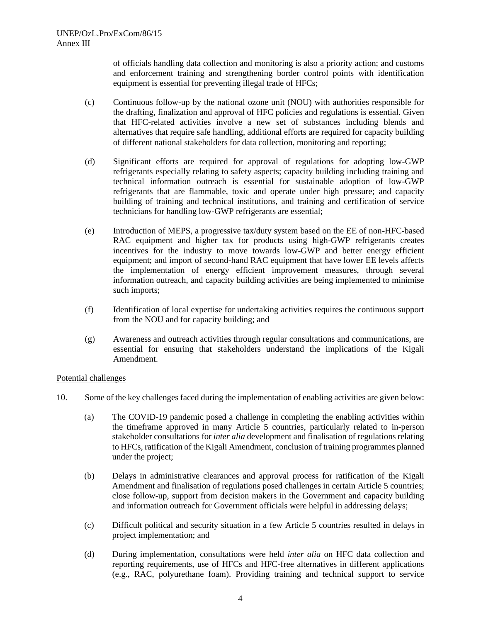of officials handling data collection and monitoring is also a priority action; and customs and enforcement training and strengthening border control points with identification equipment is essential for preventing illegal trade of HFCs;

- (c) Continuous follow-up by the national ozone unit (NOU) with authorities responsible for the drafting, finalization and approval of HFC policies and regulations is essential. Given that HFC-related activities involve a new set of substances including blends and alternatives that require safe handling, additional efforts are required for capacity building of different national stakeholders for data collection, monitoring and reporting;
- (d) Significant efforts are required for approval of regulations for adopting low-GWP refrigerants especially relating to safety aspects; capacity building including training and technical information outreach is essential for sustainable adoption of low-GWP refrigerants that are flammable, toxic and operate under high pressure; and capacity building of training and technical institutions, and training and certification of service technicians for handling low-GWP refrigerants are essential;
- (e) Introduction of MEPS, a progressive tax/duty system based on the EE of non-HFC-based RAC equipment and higher tax for products using high-GWP refrigerants creates incentives for the industry to move towards low-GWP and better energy efficient equipment; and import of second-hand RAC equipment that have lower EE levels affects the implementation of energy efficient improvement measures, through several information outreach, and capacity building activities are being implemented to minimise such imports;
- (f) Identification of local expertise for undertaking activities requires the continuous support from the NOU and for capacity building; and
- (g) Awareness and outreach activities through regular consultations and communications, are essential for ensuring that stakeholders understand the implications of the Kigali Amendment.

# Potential challenges

- 10. Some of the key challenges faced during the implementation of enabling activities are given below:
	- (a) The COVID-19 pandemic posed a challenge in completing the enabling activities within the timeframe approved in many Article 5 countries, particularly related to in-person stakeholder consultations for *inter alia* development and finalisation of regulations relating to HFCs, ratification of the Kigali Amendment, conclusion of training programmes planned under the project;
	- (b) Delays in administrative clearances and approval process for ratification of the Kigali Amendment and finalisation of regulations posed challenges in certain Article 5 countries; close follow-up, support from decision makers in the Government and capacity building and information outreach for Government officials were helpful in addressing delays;
	- (c) Difficult political and security situation in a few Article 5 countries resulted in delays in project implementation; and
	- (d) During implementation, consultations were held *inter alia* on HFC data collection and reporting requirements, use of HFCs and HFC-free alternatives in different applications (e.g., RAC, polyurethane foam). Providing training and technical support to service